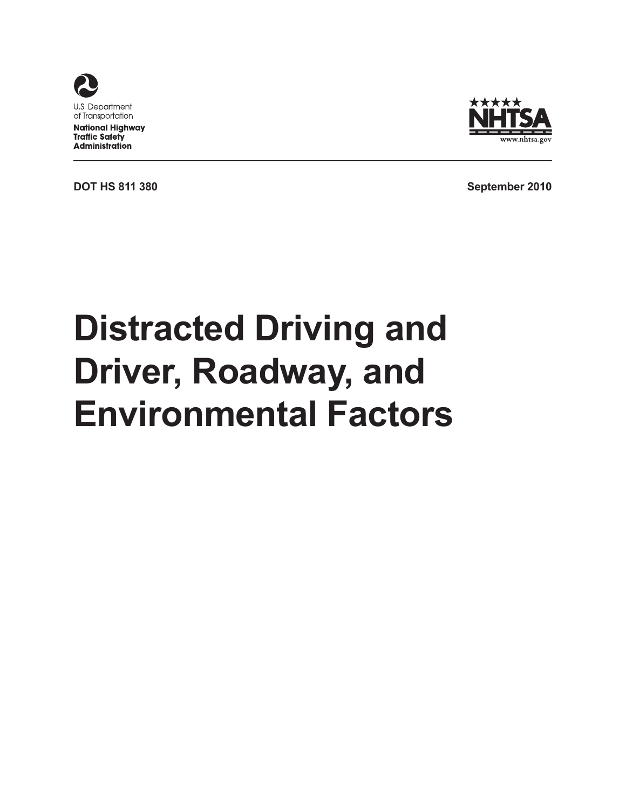



**DOT HS 811 380 September 2010** 

# **Distracted Driving and Driver, Roadway, and Environmental Factors**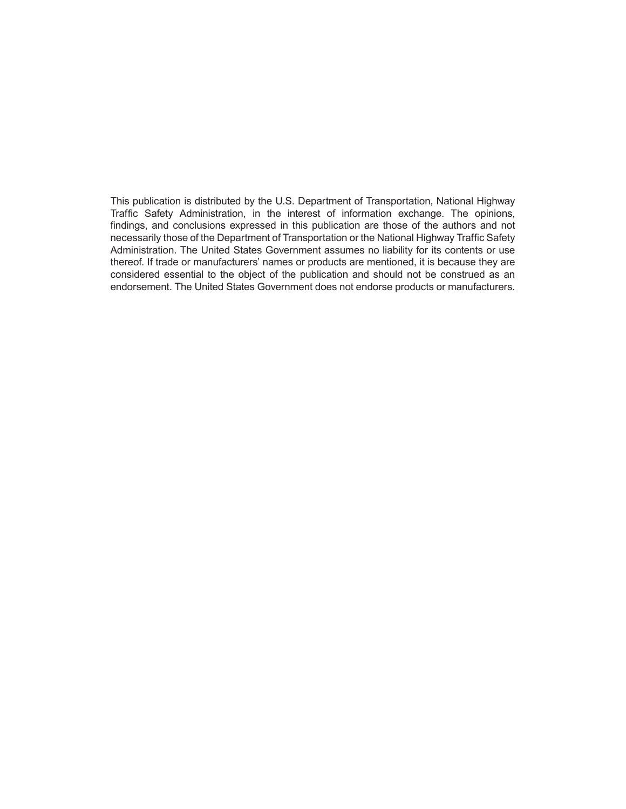This publication is distributed by the U.S. Department of Transportation, National Highway Traffic Safety Administration, in the interest of information exchange. The opinions, findings, and conclusions expressed in this publication are those of the authors and not necessarily those of the Department of Transportation or the National Highway Traffic Safety Administration. The United States Government assumes no liability for its contents or use thereof. If trade or manufacturers' names or products are mentioned, it is because they are considered essential to the object of the publication and should not be construed as an endorsement. The United States Government does not endorse products or manufacturers.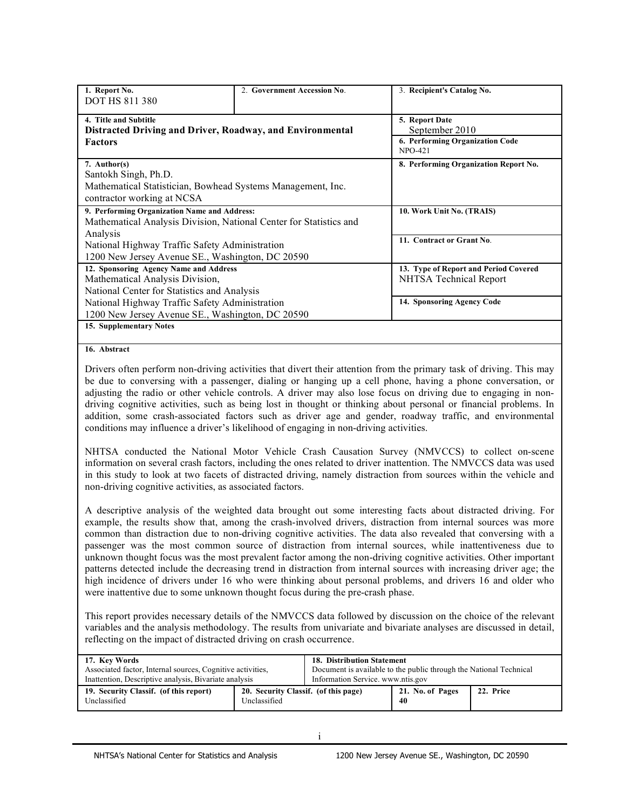| 1. Report No.                                             | 2. Government Accession No.                                                                                    | 3. Recipient's Catalog No.            |
|-----------------------------------------------------------|----------------------------------------------------------------------------------------------------------------|---------------------------------------|
| <b>DOT HS 811 380</b>                                     |                                                                                                                |                                       |
| 4. Title and Subtitle                                     |                                                                                                                | 5. Report Date                        |
| Distracted Driving and Driver, Roadway, and Environmental |                                                                                                                | September 2010                        |
| <b>Factors</b>                                            |                                                                                                                | 6. Performing Organization Code       |
|                                                           |                                                                                                                | <b>NPO-421</b>                        |
| 7. Author(s)                                              |                                                                                                                | 8. Performing Organization Report No. |
| Santokh Singh, Ph.D.                                      |                                                                                                                |                                       |
|                                                           | Mathematical Statistician, Bowhead Systems Management, Inc.                                                    |                                       |
| contractor working at NCSA                                |                                                                                                                |                                       |
| 9. Performing Organization Name and Address:              |                                                                                                                | 10. Work Unit No. (TRAIS)             |
|                                                           | Mathematical Analysis Division, National Center for Statistics and                                             |                                       |
| Analysis                                                  |                                                                                                                |                                       |
| National Highway Traffic Safety Administration            |                                                                                                                | 11. Contract or Grant No.             |
|                                                           | 1200 New Jersey Avenue SE., Washington, DC 20590                                                               |                                       |
| 12. Sponsoring Agency Name and Address                    |                                                                                                                | 13. Type of Report and Period Covered |
| Mathematical Analysis Division,                           |                                                                                                                | NHTSA Technical Report                |
| National Center for Statistics and Analysis               |                                                                                                                |                                       |
| National Highway Traffic Safety Administration            |                                                                                                                | 14. Sponsoring Agency Code            |
|                                                           | 1200 New Jersey Avenue SE., Washington, DC 20590                                                               |                                       |
| 15. Supplementary Notes                                   |                                                                                                                |                                       |
|                                                           |                                                                                                                |                                       |
| 16. Abstract                                              |                                                                                                                |                                       |
|                                                           | Rio Alexandria di Controlle della Communicació del control del control del control del control del control del | $T1$ .                                |

 Drivers often perform non-driving activities that divert their attention from the primary task of driving. This may be due to conversing with a passenger, dialing or hanging up a cell phone, having a phone conversation, or adjusting the radio or other vehicle controls. A driver may also lose focus on driving due to engaging in non- driving cognitive activities, such as being lost in thought or thinking about personal or financial problems. In addition, some crash-associated factors such as driver age and gender, roadway traffic, and environmental conditions may influence a driver's likelihood of engaging in non-driving activities.

 NHTSA conducted the National Motor Vehicle Crash Causation Survey (NMVCCS) to collect on-scene information on several crash factors, including the ones related to driver inattention. The NMVCCS data was used in this study to look at two facets of distracted driving, namely distraction from sources within the vehicle and non-driving cognitive activities, as associated factors.

 A descriptive analysis of the weighted data brought out some interesting facts about distracted driving. For example, the results show that, among the crash-involved drivers, distraction from internal sources was more common than distraction due to non-driving cognitive activities. The data also revealed that conversing with a passenger was the most common source of distraction from internal sources, while inattentiveness due to unknown thought focus was the most prevalent factor among the non-driving cognitive activities. Other important patterns detected include the decreasing trend in distraction from internal sources with increasing driver age; the high incidence of drivers under 16 who were thinking about personal problems, and drivers 16 and older who were inattentive due to some unknown thought focus during the pre-crash phase.

 This report provides necessary details of the NMVCCS data followed by discussion on the choice of the relevant variables and the analysis methodology. The results from univariate and bivariate analyses are discussed in detail, reflecting on the impact of distracted driving on crash occurrence.

| 17. Key Words                                              |                                                      | <b>18. Distribution Statement</b>                                  |                        |           |
|------------------------------------------------------------|------------------------------------------------------|--------------------------------------------------------------------|------------------------|-----------|
| Associated factor, Internal sources, Cognitive activities, |                                                      | Document is available to the public through the National Technical |                        |           |
| Inattention, Descriptive analysis, Bivariate analysis      |                                                      | Information Service, www.ntis.gov                                  |                        |           |
| 19. Security Classif. (of this report)<br>Unclassified     | 20. Security Classif. (of this page)<br>Unclassified |                                                                    | 21. No. of Pages<br>40 | 22. Price |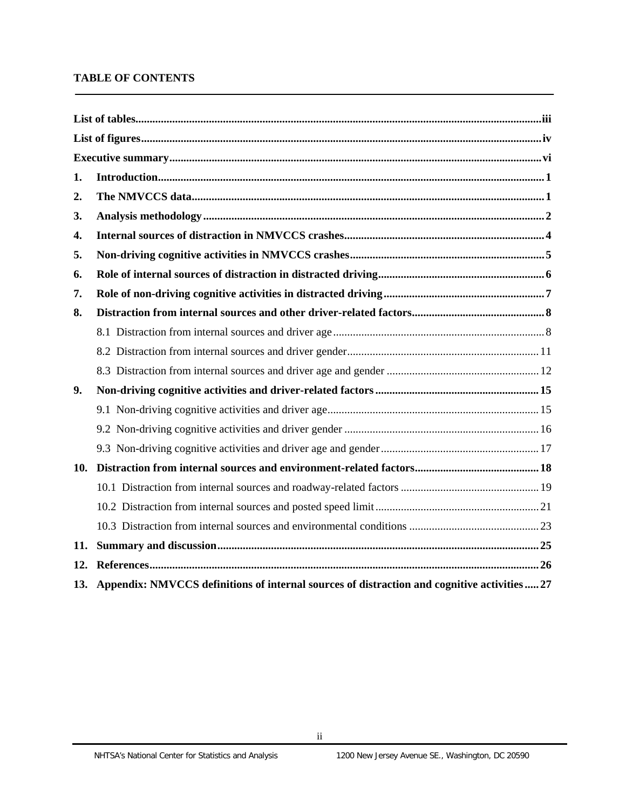## **TABLE OF CONTENTS**

| 1.  |                                                                                                  |
|-----|--------------------------------------------------------------------------------------------------|
| 2.  |                                                                                                  |
| 3.  |                                                                                                  |
| 4.  |                                                                                                  |
| 5.  |                                                                                                  |
| 6.  |                                                                                                  |
| 7.  |                                                                                                  |
| 8.  |                                                                                                  |
|     |                                                                                                  |
|     |                                                                                                  |
|     |                                                                                                  |
| 9.  |                                                                                                  |
|     |                                                                                                  |
|     |                                                                                                  |
|     |                                                                                                  |
| 10. |                                                                                                  |
|     |                                                                                                  |
|     |                                                                                                  |
|     |                                                                                                  |
| 11. |                                                                                                  |
| 12. |                                                                                                  |
|     | 13. Appendix: NMVCCS definitions of internal sources of distraction and cognitive activities  27 |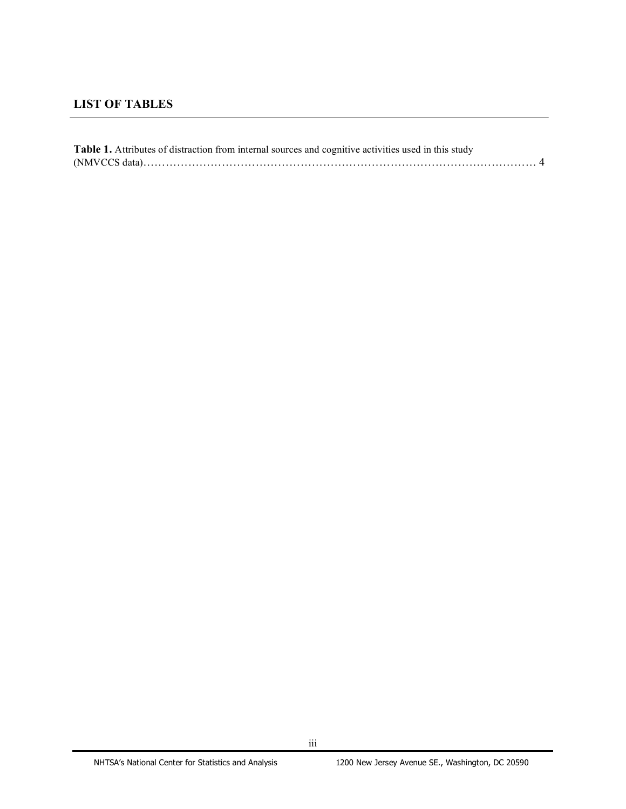# <span id="page-4-0"></span>**LIST OF TABLES**

| <b>Table 1.</b> Attributes of distraction from internal sources and cognitive activities used in this study |  |
|-------------------------------------------------------------------------------------------------------------|--|
|                                                                                                             |  |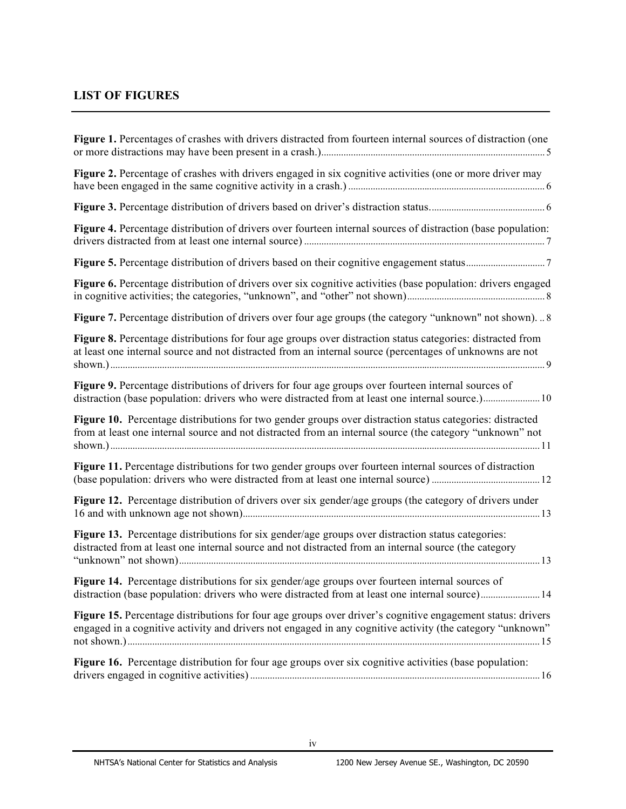# **LIST OF FIGURES**

| Figure 1. Percentages of crashes with drivers distracted from fourteen internal sources of distraction (one                                                                                                             |
|-------------------------------------------------------------------------------------------------------------------------------------------------------------------------------------------------------------------------|
| Figure 2. Percentage of crashes with drivers engaged in six cognitive activities (one or more driver may                                                                                                                |
|                                                                                                                                                                                                                         |
| Figure 4. Percentage distribution of drivers over fourteen internal sources of distraction (base population:                                                                                                            |
|                                                                                                                                                                                                                         |
| Figure 6. Percentage distribution of drivers over six cognitive activities (base population: drivers engaged                                                                                                            |
| Figure 7. Percentage distribution of drivers over four age groups (the category "unknown" not shown)8                                                                                                                   |
| Figure 8. Percentage distributions for four age groups over distraction status categories: distracted from<br>at least one internal source and not distracted from an internal source (percentages of unknowns are not  |
| Figure 9. Percentage distributions of drivers for four age groups over fourteen internal sources of                                                                                                                     |
| Figure 10. Percentage distributions for two gender groups over distraction status categories: distracted<br>from at least one internal source and not distracted from an internal source (the category "unknown" not    |
| Figure 11. Percentage distributions for two gender groups over fourteen internal sources of distraction                                                                                                                 |
| Figure 12. Percentage distribution of drivers over six gender/age groups (the category of drivers under                                                                                                                 |
| Figure 13. Percentage distributions for six gender/age groups over distraction status categories:<br>distracted from at least one internal source and not distracted from an internal source (the category              |
| Figure 14. Percentage distributions for six gender/age groups over fourteen internal sources of<br>distraction (base population: drivers who were distracted from at least one internal source) 14                      |
| Figure 15. Percentage distributions for four age groups over driver's cognitive engagement status: drivers<br>engaged in a cognitive activity and drivers not engaged in any cognitive activity (the category "unknown" |
| Figure 16. Percentage distribution for four age groups over six cognitive activities (base population:                                                                                                                  |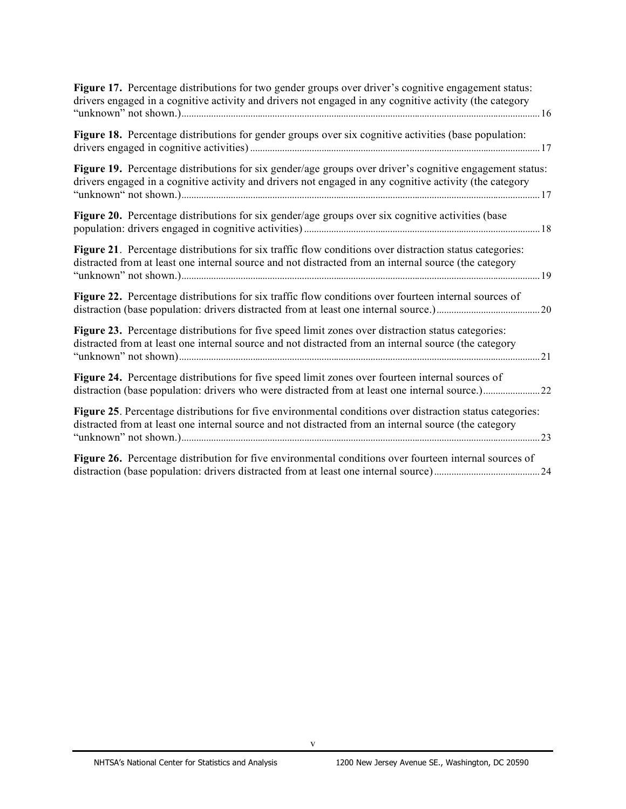| Figure 17. Percentage distributions for two gender groups over driver's cognitive engagement status:<br>drivers engaged in a cognitive activity and drivers not engaged in any cognitive activity (the category     |  |
|---------------------------------------------------------------------------------------------------------------------------------------------------------------------------------------------------------------------|--|
| Figure 18. Percentage distributions for gender groups over six cognitive activities (base population:                                                                                                               |  |
| Figure 19. Percentage distributions for six gender/age groups over driver's cognitive engagement status:<br>drivers engaged in a cognitive activity and drivers not engaged in any cognitive activity (the category |  |
| Figure 20. Percentage distributions for six gender/age groups over six cognitive activities (base                                                                                                                   |  |
| Figure 21. Percentage distributions for six traffic flow conditions over distraction status categories:<br>distracted from at least one internal source and not distracted from an internal source (the category    |  |
| Figure 22. Percentage distributions for six traffic flow conditions over fourteen internal sources of                                                                                                               |  |
| Figure 23. Percentage distributions for five speed limit zones over distraction status categories:<br>distracted from at least one internal source and not distracted from an internal source (the category<br>21   |  |
| Figure 24. Percentage distributions for five speed limit zones over fourteen internal sources of<br>distraction (base population: drivers who were distracted from at least one internal source.)22                 |  |
| Figure 25. Percentage distributions for five environmental conditions over distraction status categories:<br>distracted from at least one internal source and not distracted from an internal source (the category  |  |
| Figure 26. Percentage distribution for five environmental conditions over fourteen internal sources of                                                                                                              |  |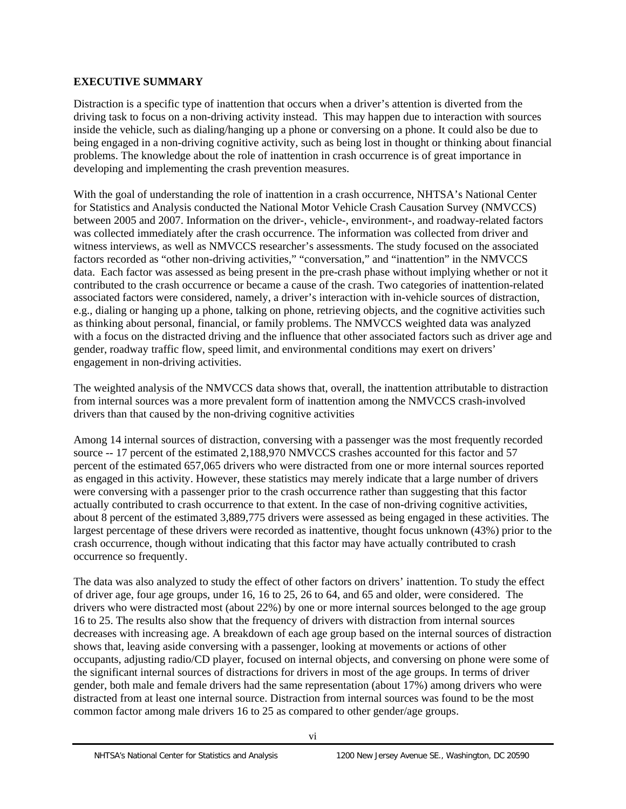# <span id="page-7-0"></span>**EXECUTIVE SUMMARY**

Distraction is a specific type of inattention that occurs when a driver's attention is diverted from the driving task to focus on a non-driving activity instead. This may happen due to interaction with sources inside the vehicle, such as dialing/hanging up a phone or conversing on a phone. It could also be due to being engaged in a non-driving cognitive activity, such as being lost in thought or thinking about financial problems. The knowledge about the role of inattention in crash occurrence is of great importance in developing and implementing the crash prevention measures.

With the goal of understanding the role of inattention in a crash occurrence, NHTSA's National Center for Statistics and Analysis conducted the National Motor Vehicle Crash Causation Survey (NMVCCS) between 2005 and 2007. Information on the driver-, vehicle-, environment-, and roadway-related factors was collected immediately after the crash occurrence. The information was collected from driver and witness interviews, as well as NMVCCS researcher's assessments. The study focused on the associated factors recorded as "other non-driving activities," "conversation," and "inattention" in the NMVCCS data. Each factor was assessed as being present in the pre-crash phase without implying whether or not it contributed to the crash occurrence or became a cause of the crash. Two categories of inattention-related associated factors were considered, namely, a driver's interaction with in-vehicle sources of distraction, e.g., dialing or hanging up a phone, talking on phone, retrieving objects, and the cognitive activities such as thinking about personal, financial, or family problems. The NMVCCS weighted data was analyzed with a focus on the distracted driving and the influence that other associated factors such as driver age and gender, roadway traffic flow, speed limit, and environmental conditions may exert on drivers' engagement in non-driving activities.

The weighted analysis of the NMVCCS data shows that, overall, the inattention attributable to distraction from internal sources was a more prevalent form of inattention among the NMVCCS crash-involved drivers than that caused by the non-driving cognitive activities

Among 14 internal sources of distraction, conversing with a passenger was the most frequently recorded source -- 17 percent of the estimated 2,188,970 NMVCCS crashes accounted for this factor and 57 percent of the estimated 657,065 drivers who were distracted from one or more internal sources reported as engaged in this activity. However, these statistics may merely indicate that a large number of drivers were conversing with a passenger prior to the crash occurrence rather than suggesting that this factor actually contributed to crash occurrence to that extent. In the case of non-driving cognitive activities, about 8 percent of the estimated 3,889,775 drivers were assessed as being engaged in these activities. The largest percentage of these drivers were recorded as inattentive, thought focus unknown (43%) prior to the crash occurrence, though without indicating that this factor may have actually contributed to crash occurrence so frequently.

The data was also analyzed to study the effect of other factors on drivers' inattention. To study the effect of driver age, four age groups, under 16, 16 to 25, 26 to 64, and 65 and older, were considered. The drivers who were distracted most (about 22%) by one or more internal sources belonged to the age group 16 to 25. The results also show that the frequency of drivers with distraction from internal sources decreases with increasing age. A breakdown of each age group based on the internal sources of distraction shows that, leaving aside conversing with a passenger, looking at movements or actions of other occupants, adjusting radio/CD player, focused on internal objects, and conversing on phone were some of the significant internal sources of distractions for drivers in most of the age groups. In terms of driver gender, both male and female drivers had the same representation (about 17%) among drivers who were distracted from at least one internal source. Distraction from internal sources was found to be the most common factor among male drivers 16 to 25 as compared to other gender/age groups.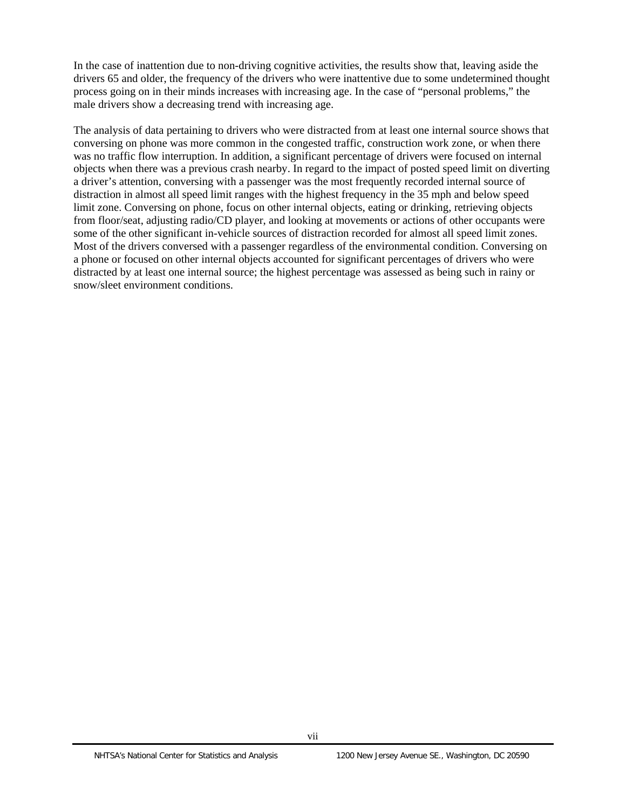In the case of inattention due to non-driving cognitive activities, the results show that, leaving aside the drivers 65 and older, the frequency of the drivers who were inattentive due to some undetermined thought process going on in their minds increases with increasing age. In the case of "personal problems," the male drivers show a decreasing trend with increasing age.

The analysis of data pertaining to drivers who were distracted from at least one internal source shows that conversing on phone was more common in the congested traffic, construction work zone, or when there was no traffic flow interruption. In addition, a significant percentage of drivers were focused on internal objects when there was a previous crash nearby. In regard to the impact of posted speed limit on diverting a driver's attention, conversing with a passenger was the most frequently recorded internal source of distraction in almost all speed limit ranges with the highest frequency in the 35 mph and below speed limit zone. Conversing on phone, focus on other internal objects, eating or drinking, retrieving objects from floor/seat, adjusting radio/CD player, and looking at movements or actions of other occupants were some of the other significant in-vehicle sources of distraction recorded for almost all speed limit zones. Most of the drivers conversed with a passenger regardless of the environmental condition. Conversing on a phone or focused on other internal objects accounted for significant percentages of drivers who were distracted by at least one internal source; the highest percentage was assessed as being such in rainy or snow/sleet environment conditions.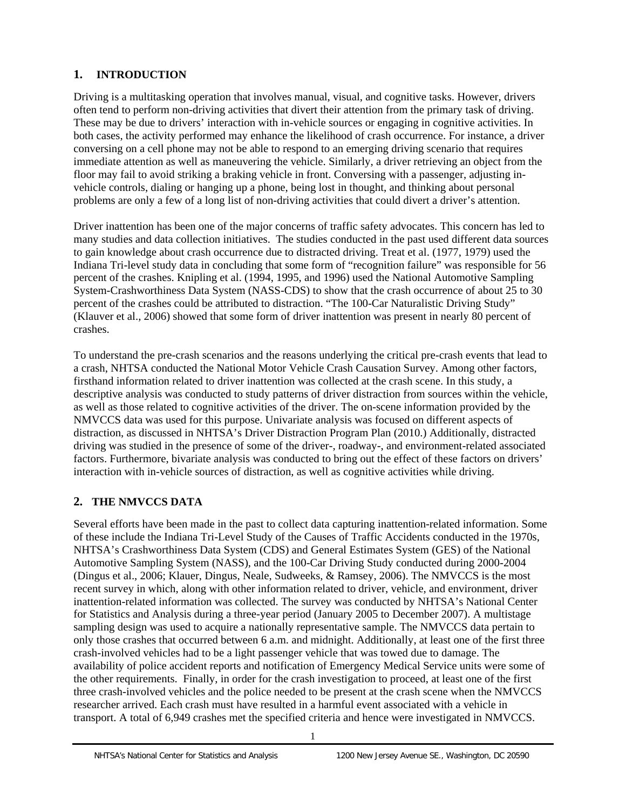# <span id="page-10-0"></span>**1. INTRODUCTION**

Driving is a multitasking operation that involves manual, visual, and cognitive tasks. However, drivers often tend to perform non-driving activities that divert their attention from the primary task of driving. These may be due to drivers' interaction with in-vehicle sources or engaging in cognitive activities. In both cases, the activity performed may enhance the likelihood of crash occurrence. For instance, a driver conversing on a cell phone may not be able to respond to an emerging driving scenario that requires immediate attention as well as maneuvering the vehicle. Similarly, a driver retrieving an object from the floor may fail to avoid striking a braking vehicle in front. Conversing with a passenger, adjusting invehicle controls, dialing or hanging up a phone, being lost in thought, and thinking about personal problems are only a few of a long list of non-driving activities that could divert a driver's attention.

Driver inattention has been one of the major concerns of traffic safety advocates. This concern has led to many studies and data collection initiatives. The studies conducted in the past used different data sources to gain knowledge about crash occurrence due to distracted driving. Treat et al. (1977, 1979) used the Indiana Tri-level study data in concluding that some form of "recognition failure" was responsible for 56 percent of the crashes. Knipling et al. (1994, 1995, and 1996) used the National Automotive Sampling System-Crashworthiness Data System (NASS-CDS) to show that the crash occurrence of about 25 to 30 percent of the crashes could be attributed to distraction. "The 100-Car Naturalistic Driving Study" (Klauver et al., 2006) showed that some form of driver inattention was present in nearly 80 percent of crashes.

To understand the pre-crash scenarios and the reasons underlying the critical pre-crash events that lead to a crash, NHTSA conducted the National Motor Vehicle Crash Causation Survey. Among other factors, firsthand information related to driver inattention was collected at the crash scene. In this study, a descriptive analysis was conducted to study patterns of driver distraction from sources within the vehicle, as well as those related to cognitive activities of the driver. The on-scene information provided by the NMVCCS data was used for this purpose. Univariate analysis was focused on different aspects of distraction, as discussed in NHTSA's Driver Distraction Program Plan (2010.) Additionally, distracted driving was studied in the presence of some of the driver-, roadway-, and environment-related associated factors. Furthermore, bivariate analysis was conducted to bring out the effect of these factors on drivers' interaction with in-vehicle sources of distraction, as well as cognitive activities while driving.

# **2. THE NMVCCS DATA**

Several efforts have been made in the past to collect data capturing inattention-related information. Some of these include the Indiana Tri-Level Study of the Causes of Traffic Accidents conducted in the 1970s, NHTSA's Crashworthiness Data System (CDS) and General Estimates System (GES) of the National Automotive Sampling System (NASS), and the 100-Car Driving Study conducted during 2000-2004 (Dingus et al., 2006; Klauer, Dingus, Neale, Sudweeks, & Ramsey, 2006). The NMVCCS is the most recent survey in which, along with other information related to driver, vehicle, and environment, driver inattention-related information was collected. The survey was conducted by NHTSA's National Center for Statistics and Analysis during a three-year period (January 2005 to December 2007). A multistage sampling design was used to acquire a nationally representative sample. The NMVCCS data pertain to only those crashes that occurred between 6 a.m. and midnight. Additionally, at least one of the first three crash-involved vehicles had to be a light passenger vehicle that was towed due to damage. The availability of police accident reports and notification of Emergency Medical Service units were some of the other requirements. Finally, in order for the crash investigation to proceed, at least one of the first three crash-involved vehicles and the police needed to be present at the crash scene when the NMVCCS researcher arrived. Each crash must have resulted in a harmful event associated with a vehicle in transport. A total of 6,949 crashes met the specified criteria and hence were investigated in NMVCCS.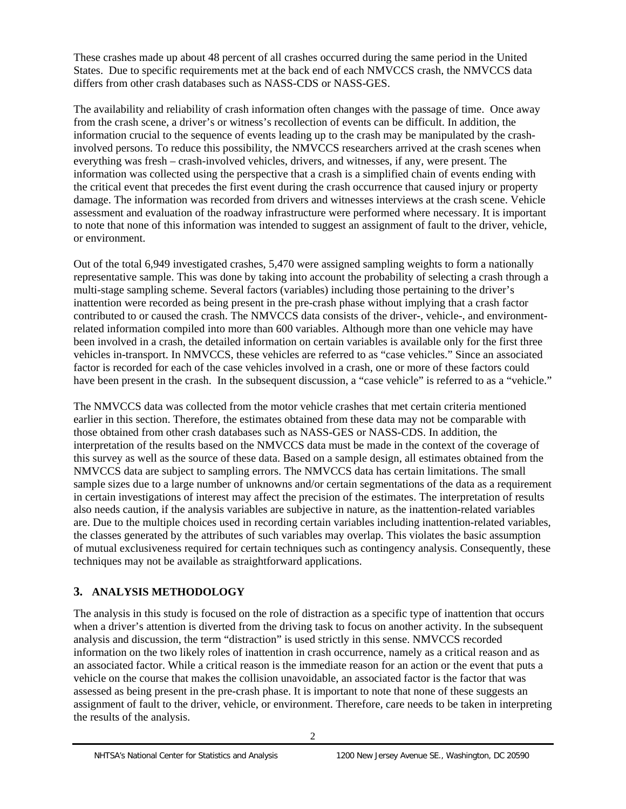<span id="page-11-0"></span>These crashes made up about 48 percent of all crashes occurred during the same period in the United States. Due to specific requirements met at the back end of each NMVCCS crash, the NMVCCS data differs from other crash databases such as NASS-CDS or NASS-GES.

 the critical event that precedes the first event during the crash occurrence that caused injury or property The availability and reliability of crash information often changes with the passage of time. Once away from the crash scene, a driver's or witness's recollection of events can be difficult. In addition, the information crucial to the sequence of events leading up to the crash may be manipulated by the crashinvolved persons. To reduce this possibility, the NMVCCS researchers arrived at the crash scenes when everything was fresh – crash-involved vehicles, drivers, and witnesses, if any, were present. The information was collected using the perspective that a crash is a simplified chain of events ending with damage. The information was recorded from drivers and witnesses interviews at the crash scene. Vehicle assessment and evaluation of the roadway infrastructure were performed where necessary. It is important to note that none of this information was intended to suggest an assignment of fault to the driver, vehicle, or environment.

Out of the total 6,949 investigated crashes, 5,470 were assigned sampling weights to form a nationally representative sample. This was done by taking into account the probability of selecting a crash through a multi-stage sampling scheme. Several factors (variables) including those pertaining to the driver's inattention were recorded as being present in the pre-crash phase without implying that a crash factor contributed to or caused the crash. The NMVCCS data consists of the driver-, vehicle-, and environmentrelated information compiled into more than 600 variables. Although more than one vehicle may have been involved in a crash, the detailed information on certain variables is available only for the first three vehicles in-transport. In NMVCCS, these vehicles are referred to as "case vehicles." Since an associated factor is recorded for each of the case vehicles involved in a crash, one or more of these factors could have been present in the crash. In the subsequent discussion, a "case vehicle" is referred to as a "vehicle."

The NMVCCS data was collected from the motor vehicle crashes that met certain criteria mentioned earlier in this section. Therefore, the estimates obtained from these data may not be comparable with those obtained from other crash databases such as NASS-GES or NASS-CDS. In addition, the interpretation of the results based on the NMVCCS data must be made in the context of the coverage of this survey as well as the source of these data. Based on a sample design, all estimates obtained from the NMVCCS data are subject to sampling errors. The NMVCCS data has certain limitations. The small sample sizes due to a large number of unknowns and/or certain segmentations of the data as a requirement in certain investigations of interest may affect the precision of the estimates. The interpretation of results also needs caution, if the analysis variables are subjective in nature, as the inattention-related variables are. Due to the multiple choices used in recording certain variables including inattention-related variables, the classes generated by the attributes of such variables may overlap. This violates the basic assumption of mutual exclusiveness required for certain techniques such as contingency analysis. Consequently, these techniques may not be available as straightforward applications.

# **3. ANALYSIS METHODOLOGY**

The analysis in this study is focused on the role of distraction as a specific type of inattention that occurs when a driver's attention is diverted from the driving task to focus on another activity. In the subsequent analysis and discussion, the term "distraction" is used strictly in this sense. NMVCCS recorded information on the two likely roles of inattention in crash occurrence, namely as a critical reason and as an associated factor. While a critical reason is the immediate reason for an action or the event that puts a vehicle on the course that makes the collision unavoidable, an associated factor is the factor that was assessed as being present in the pre-crash phase. It is important to note that none of these suggests an assignment of fault to the driver, vehicle, or environment. Therefore, care needs to be taken in interpreting the results of the analysis.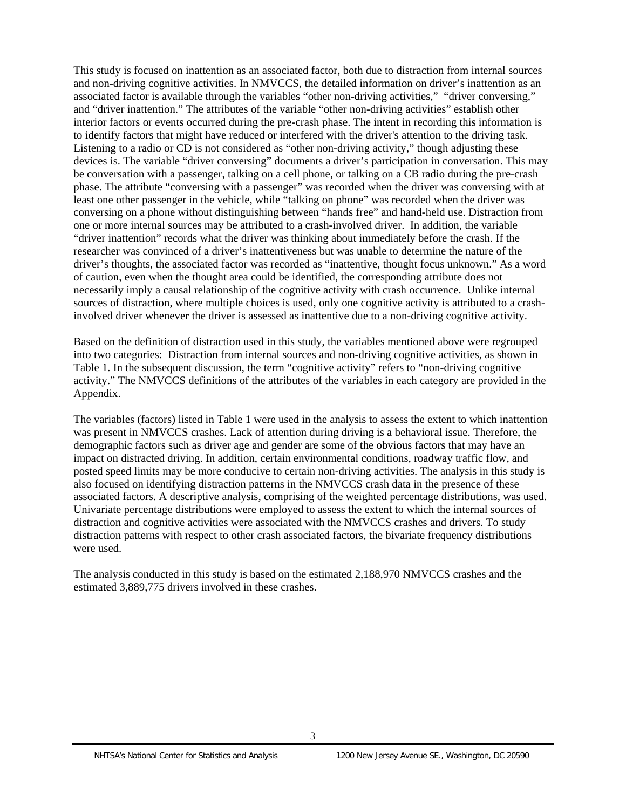involved driver whenever the driver is assessed as inattentive due to a non-driving cognitive activity. This study is focused on inattention as an associated factor, both due to distraction from internal sources and non-driving cognitive activities. In NMVCCS, the detailed information on driver's inattention as an associated factor is available through the variables "other non-driving activities," "driver conversing," and "driver inattention." The attributes of the variable "other non-driving activities" establish other interior factors or events occurred during the pre-crash phase. The intent in recording this information is to identify factors that might have reduced or interfered with the driver's attention to the driving task. Listening to a radio or CD is not considered as "other non-driving activity," though adjusting these devices is. The variable "driver conversing" documents a driver's participation in conversation. This may be conversation with a passenger, talking on a cell phone, or talking on a CB radio during the pre-crash phase. The attribute "conversing with a passenger" was recorded when the driver was conversing with at least one other passenger in the vehicle, while "talking on phone" was recorded when the driver was conversing on a phone without distinguishing between "hands free" and hand-held use. Distraction from one or more internal sources may be attributed to a crash-involved driver. In addition, the variable "driver inattention" records what the driver was thinking about immediately before the crash. If the researcher was convinced of a driver's inattentiveness but was unable to determine the nature of the driver's thoughts, the associated factor was recorded as "inattentive, thought focus unknown." As a word of caution, even when the thought area could be identified, the corresponding attribute does not necessarily imply a causal relationship of the cognitive activity with crash occurrence. Unlike internal sources of distraction, where multiple choices is used, only one cognitive activity is attributed to a crash-

Based on the definition of distraction used in this study, the variables mentioned above were regrouped into two categories: Distraction from internal sources and non-driving cognitive activities, as shown in Table 1. In the subsequent discussion, the term "cognitive activity" refers to "non-driving cognitive activity." The NMVCCS definitions of the attributes of the variables in each category are provided in the Appendix.

The variables (factors) listed in Table 1 were used in the analysis to assess the extent to which inattention was present in NMVCCS crashes. Lack of attention during driving is a behavioral issue. Therefore, the demographic factors such as driver age and gender are some of the obvious factors that may have an impact on distracted driving. In addition, certain environmental conditions, roadway traffic flow, and posted speed limits may be more conducive to certain non-driving activities. The analysis in this study is also focused on identifying distraction patterns in the NMVCCS crash data in the presence of these associated factors. A descriptive analysis, comprising of the weighted percentage distributions, was used. Univariate percentage distributions were employed to assess the extent to which the internal sources of distraction and cognitive activities were associated with the NMVCCS crashes and drivers. To study distraction patterns with respect to other crash associated factors, the bivariate frequency distributions were used.

The analysis conducted in this study is based on the estimated 2,188,970 NMVCCS crashes and the estimated 3,889,775 drivers involved in these crashes.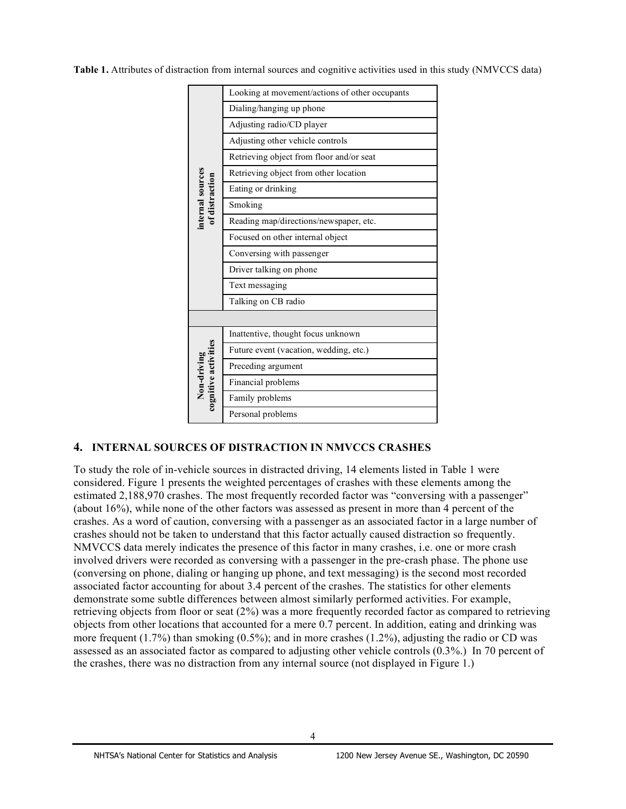<span id="page-13-0"></span> **Table 1.** Attributes of distraction from internal sources and cognitive activities used in this study (NMVCCS data)



# **4. INTERNAL SOURCES OF DISTRACTION IN NMVCCS CRASHES**

 To study the role of in-vehicle sources in distracted driving, 14 elements listed in Table 1 were considered. Figure 1 presents the weighted percentages of crashes with these elements among the estimated 2,188,970 crashes. The most frequently recorded factor was "conversing with a passenger" (about 16%), while none of the other factors was assessed as present in more than 4 percent of the crashes. As a word of caution, conversing with a passenger as an associated factor in a large number of crashes should not be taken to understand that this factor actually caused distraction so frequently. NMVCCS data merely indicates the presence of this factor in many crashes, i.e. one or more crash involved drivers were recorded as conversing with a passenger in the pre-crash phase. The phone use (conversing on phone, dialing or hanging up phone, and text messaging) is the second most recorded associated factor accounting for about 3.4 percent of the crashes. The statistics for other elements demonstrate some subtle differences between almost similarly performed activities. For example, retrieving objects from floor or seat (2%) was a more frequently recorded factor as compared to retrieving objects from other locations that accounted for a mere 0.7 percent. In addition, eating and drinking was more frequent (1.7%) than smoking (0.5%); and in more crashes (1.2%), adjusting the radio or CD was assessed as an associated factor as compared to adjusting other vehicle controls (0.3%.) In 70 percent of the crashes, there was no distraction from any internal source (not displayed in Figure 1.)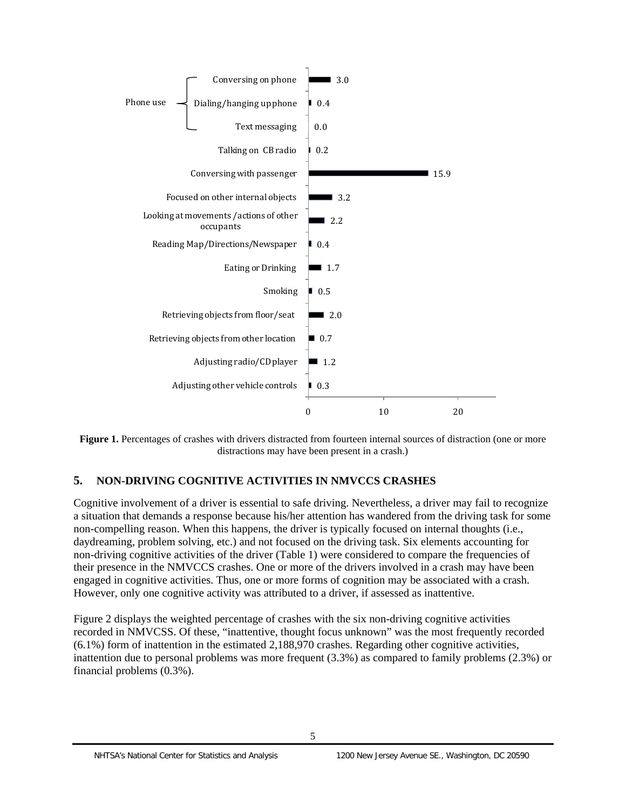<span id="page-14-0"></span>

**Figure 1.** Percentages of crashes with drivers distracted from fourteen internal sources of distraction (one or more distractions may have been present in a crash.)

# **5. NON-DRIVING COGNITIVE ACTIVITIES IN NMVCCS CRASHES**

Cognitive involvement of a driver is essential to safe driving. Nevertheless, a driver may fail to recognize a situation that demands a response because his/her attention has wandered from the driving task for some non-compelling reason. When this happens, the driver is typically focused on internal thoughts (i.e., daydreaming, problem solving, etc.) and not focused on the driving task. Six elements accounting for non-driving cognitive activities of the driver (Table 1) were considered to compare the frequencies of their presence in the NMVCCS crashes. One or more of the drivers involved in a crash may have been engaged in cognitive activities. Thus, one or more forms of cognition may be associated with a crash. However, only one cognitive activity was attributed to a driver, if assessed as inattentive.

Figure 2 displays the weighted percentage of crashes with the six non-driving cognitive activities recorded in NMVCSS. Of these, "inattentive, thought focus unknown" was the most frequently recorded (6.1%) form of inattention in the estimated 2,188,970 crashes. Regarding other cognitive activities, inattention due to personal problems was more frequent (3.3%) as compared to family problems (2.3%) or financial problems (0.3%).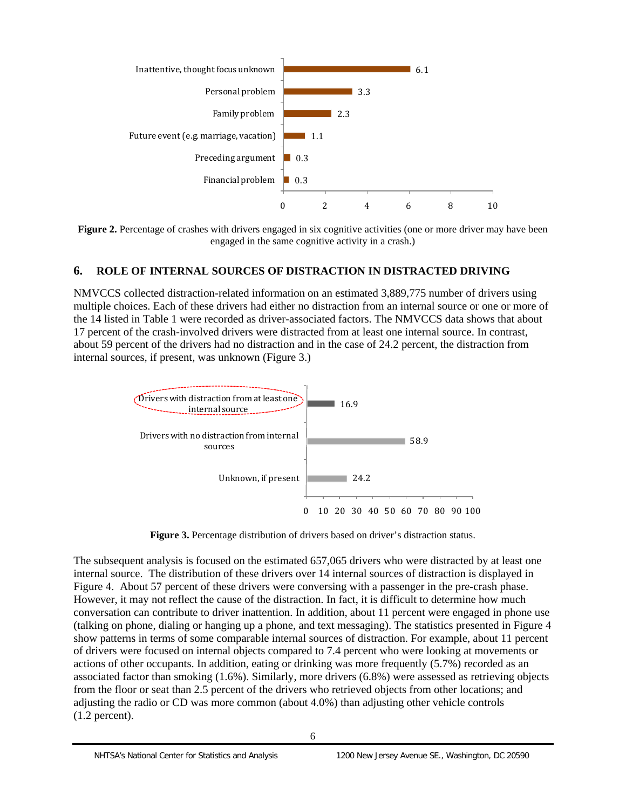

Figure 2. Percentage of crashes with drivers engaged in six cognitive activities (one or more driver may have been engaged in the same cognitive activity in a crash.)

# **6. ROLE OF INTERNAL SOURCES OF DISTRACTION IN DISTRACTED DRIVING**

NMVCCS collected distraction-related information on an estimated 3,889,775 number of drivers using multiple choices. Each of these drivers had either no distraction from an internal source or one or more of the 14 listed in Table 1 were recorded as driver-associated factors. The NMVCCS data shows that about 17 percent of the crash-involved drivers were distracted from at least one internal source. In contrast, about 59 percent of the drivers had no distraction and in the case of 24.2 percent, the distraction from internal sources, if present, was unknown (Figure 3.)



**Figure 3.** Percentage distribution of drivers based on driver's distraction status.

 $(1.2$  percent). The subsequent analysis is focused on the estimated 657,065 drivers who were distracted by at least one internal source. The distribution of these drivers over 14 internal sources of distraction is displayed in Figure 4. About 57 percent of these drivers were conversing with a passenger in the pre-crash phase. However, it may not reflect the cause of the distraction. In fact, it is difficult to determine how much conversation can contribute to driver inattention. In addition, about 11 percent were engaged in phone use (talking on phone, dialing or hanging up a phone, and text messaging). The statistics presented in Figure 4 show patterns in terms of some comparable internal sources of distraction. For example, about 11 percent of drivers were focused on internal objects compared to 7.4 percent who were looking at movements or actions of other occupants. In addition, eating or drinking was more frequently (5.7%) recorded as an associated factor than smoking (1.6%). Similarly, more drivers (6.8%) were assessed as retrieving objects from the floor or seat than 2.5 percent of the drivers who retrieved objects from other locations; and adjusting the radio or CD was more common (about 4.0%) than adjusting other vehicle controls  $(1.2 \text{ percent}).$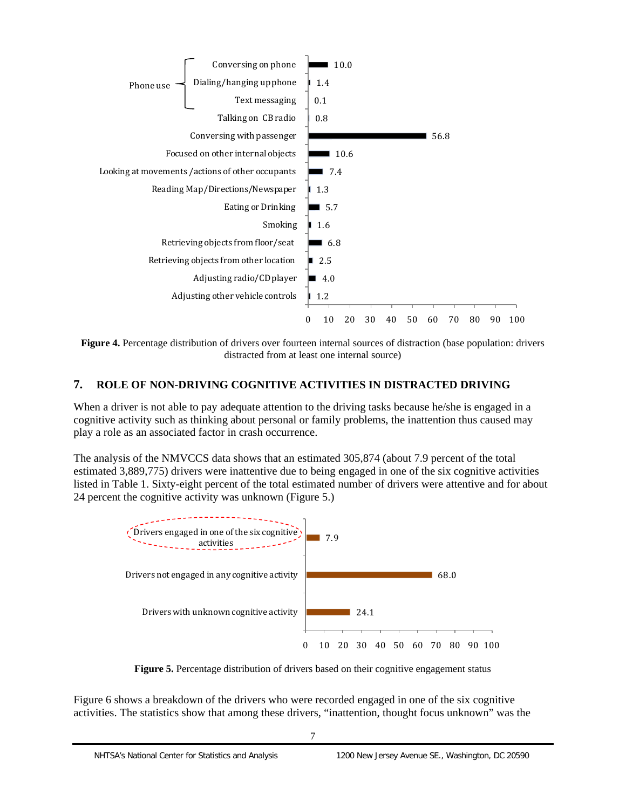<span id="page-16-0"></span>

**Figure 4.** Percentage distribution of drivers over fourteen internal sources of distraction (base population: drivers distracted from at least one internal source)

# **7. ROLE OF NON-DRIVING COGNITIVE ACTIVITIES IN DISTRACTED DRIVING**

When a driver is not able to pay adequate attention to the driving tasks because he/she is engaged in a cognitive activity such as thinking about personal or family problems, the inattention thus caused may play a role as an associated factor in crash occurrence.

The analysis of the NMVCCS data shows that an estimated 305,874 (about 7.9 percent of the total estimated 3,889,775) drivers were inattentive due to being engaged in one of the six cognitive activities listed in Table 1. Sixty-eight percent of the total estimated number of drivers were attentive and for about 24 percent the cognitive activity was unknown (Figure 5.)



**Figure 5.** Percentage distribution of drivers based on their cognitive engagement status

Figure 6 shows a breakdown of the drivers who were recorded engaged in one of the six cognitive activities. The statistics show that among these drivers, "inattention, thought focus unknown" was the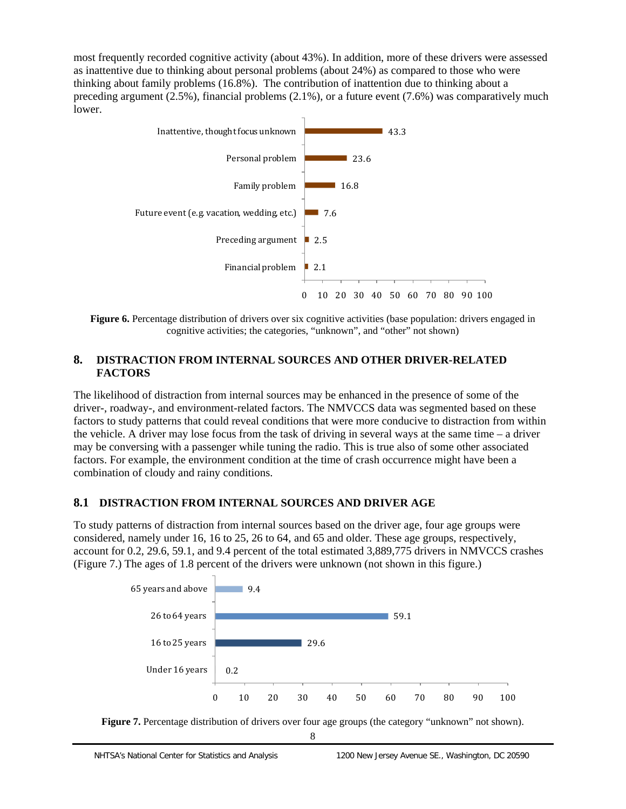most frequently recorded cognitive activity (about 43%). In addition, more of these drivers were assessed as inattentive due to thinking about personal problems (about 24%) as compared to those who were thinking about family problems (16.8%). The contribution of inattention due to thinking about a preceding argument (2.5%), financial problems (2.1%), or a future event (7.6%) was comparatively much lower.



**Figure 6.** Percentage distribution of drivers over six cognitive activities (base population: drivers engaged in cognitive activities; the categories, "unknown", and "other" not shown)

# **8. DISTRACTION FROM INTERNAL SOURCES AND OTHER DRIVER-RELATED FACTORS**

The likelihood of distraction from internal sources may be enhanced in the presence of some of the driver-, roadway-, and environment-related factors. The NMVCCS data was segmented based on these factors to study patterns that could reveal conditions that were more conducive to distraction from within the vehicle. A driver may lose focus from the task of driving in several ways at the same time  $-$  a driver may be conversing with a passenger while tuning the radio. This is true also of some other associated factors. For example, the environment condition at the time of crash occurrence might have been a combination of cloudy and rainy conditions.

# **8.1 DISTRACTION FROM INTERNAL SOURCES AND DRIVER AGE**

To study patterns of distraction from internal sources based on the driver age, four age groups were considered, namely under 16, 16 to 25, 26 to 64, and 65 and older. These age groups, respectively, account for 0.2, 29.6, 59.1, and 9.4 percent of the total estimated 3,889,775 drivers in NMVCCS crashes (Figure 7.) The ages of 1.8 percent of the drivers were unknown (not shown in this figure.)





8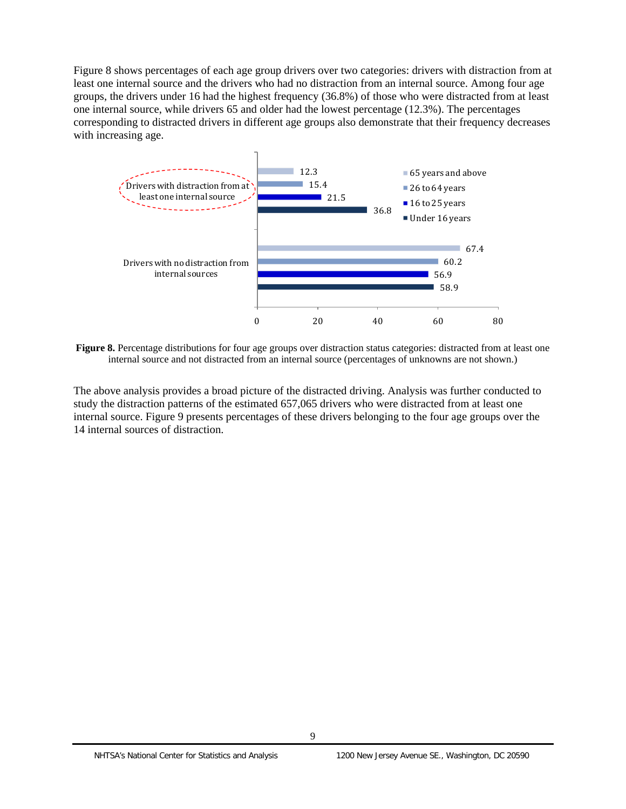<span id="page-18-0"></span>Figure 8 shows percentages of each age group drivers over two categories: drivers with distraction from at least one internal source and the drivers who had no distraction from an internal source. Among four age groups, the drivers under 16 had the highest frequency (36.8%) of those who were distracted from at least one internal source, while drivers 65 and older had the lowest percentage (12.3%). The percentages corresponding to distracted drivers in different age groups also demonstrate that their frequency decreases with increasing age.



**Figure 8.** Percentage distributions for four age groups over distraction status categories: distracted from at least one internal source and not distracted from an internal source (percentages of unknowns are not shown.)

The above analysis provides a broad picture of the distracted driving. Analysis was further conducted to study the distraction patterns of the estimated 657,065 drivers who were distracted from at least one internal source. Figure 9 presents percentages of these drivers belonging to the four age groups over the 14 internal sources of distraction.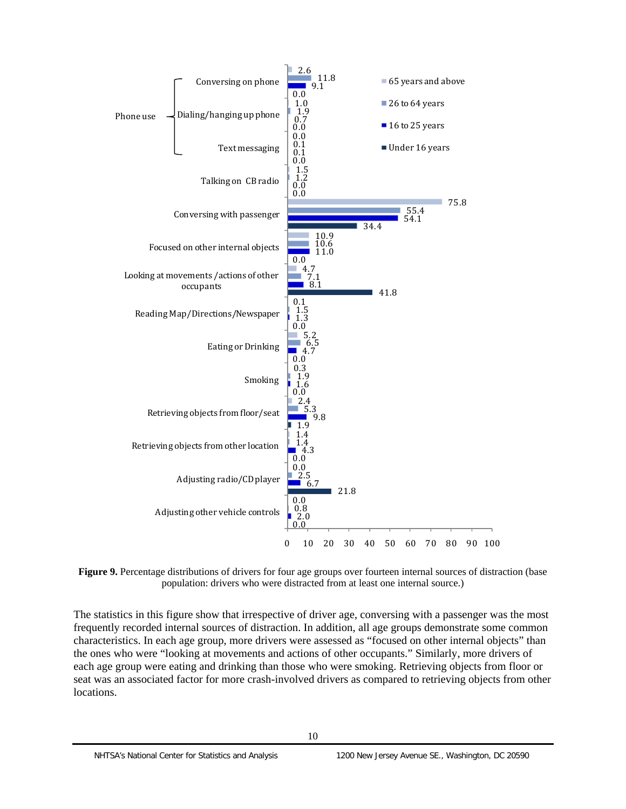

**Figure 9.** Percentage distributions of drivers for four age groups over fourteen internal sources of distraction (base) population: drivers who were distracted from at least one internal source.)

The statistics in this figure show that irrespective of driver age, conversing with a passenger was the most frequently recorded internal sources of distraction. In addition, all age groups demonstrate some common characteristics. In each age group, more drivers were assessed as "focused on other internal objects" than the ones who were "looking at movements and actions of other occupants." Similarly, more drivers of each age group were eating and drinking than those who were smoking. Retrieving objects from floor or seat was an associated factor for more crash-involved drivers as compared to retrieving objects from other locations.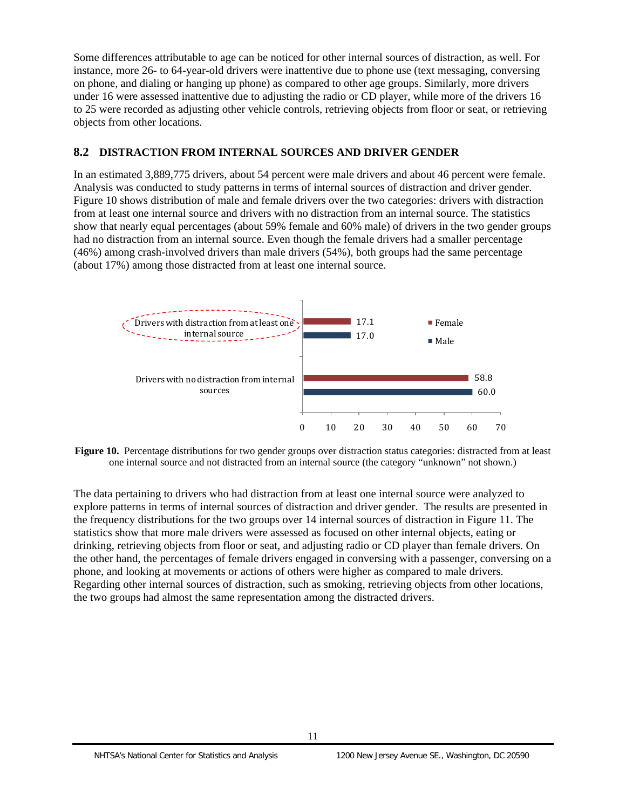<span id="page-20-0"></span>Some differences attributable to age can be noticed for other internal sources of distraction, as well. For instance, more 26- to 64-year-old drivers were inattentive due to phone use (text messaging, conversing on phone, and dialing or hanging up phone) as compared to other age groups. Similarly, more drivers under 16 were assessed inattentive due to adjusting the radio or CD player, while more of the drivers 16 to 25 were recorded as adjusting other vehicle controls, retrieving objects from floor or seat, or retrieving objects from other locations.

# **8.2 DISTRACTION FROM INTERNAL SOURCES AND DRIVER GENDER**

In an estimated 3,889,775 drivers, about 54 percent were male drivers and about 46 percent were female. Analysis was conducted to study patterns in terms of internal sources of distraction and driver gender. Figure 10 shows distribution of male and female drivers over the two categories: drivers with distraction from at least one internal source and drivers with no distraction from an internal source. The statistics show that nearly equal percentages (about 59% female and 60% male) of drivers in the two gender groups had no distraction from an internal source. Even though the female drivers had a smaller percentage (46%) among crash-involved drivers than male drivers (54%), both groups had the same percentage (about 17%) among those distracted from at least one internal source.



Figure 10. Percentage distributions for two gender groups over distraction status categories: distracted from at least one internal source and not distracted from an internal source (the category "unknown" not shown.)

The data pertaining to drivers who had distraction from at least one internal source were analyzed to explore patterns in terms of internal sources of distraction and driver gender. The results are presented in the frequency distributions for the two groups over 14 internal sources of distraction in Figure 11. The statistics show that more male drivers were assessed as focused on other internal objects, eating or drinking, retrieving objects from floor or seat, and adjusting radio or CD player than female drivers. On the other hand, the percentages of female drivers engaged in conversing with a passenger, conversing on a phone, and looking at movements or actions of others were higher as compared to male drivers. Regarding other internal sources of distraction, such as smoking, retrieving objects from other locations, the two groups had almost the same representation among the distracted drivers.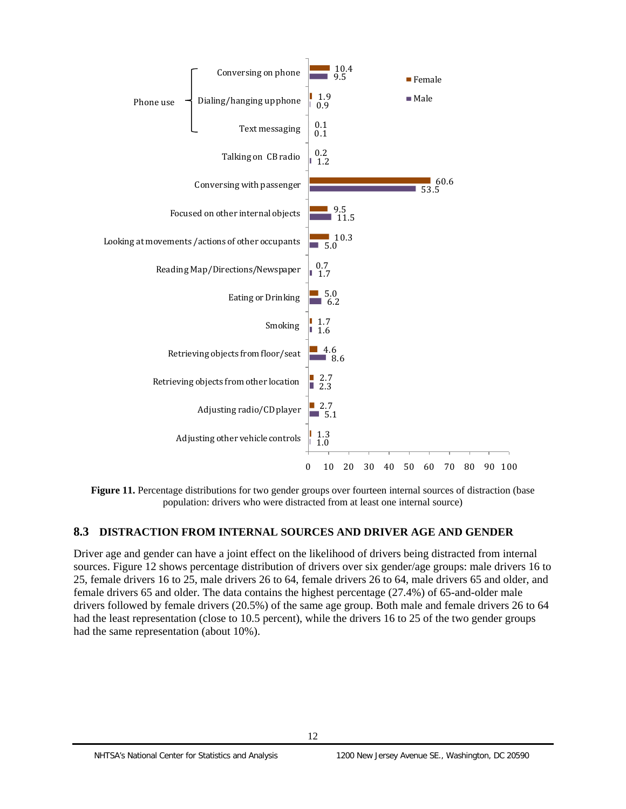<span id="page-21-0"></span>

 **Figure 11.** Percentage distributions for two gender groups over fourteen internal sources of distraction (base population: drivers who were distracted from at least one internal source)

# **8.3 DISTRACTION FROM INTERNAL SOURCES AND DRIVER AGE AND GENDER**

Driver age and gender can have a joint effect on the likelihood of drivers being distracted from internal sources. Figure 12 shows percentage distribution of drivers over six gender/age groups: male drivers 16 to 25, female drivers 16 to 25, male drivers 26 to 64, female drivers 26 to 64, male drivers 65 and older, and female drivers 65 and older. The data contains the highest percentage (27.4%) of 65-and-older male drivers followed by female drivers (20.5%) of the same age group. Both male and female drivers 26 to 64 had the least representation (close to 10.5 percent), while the drivers 16 to 25 of the two gender groups had the same representation (about 10%).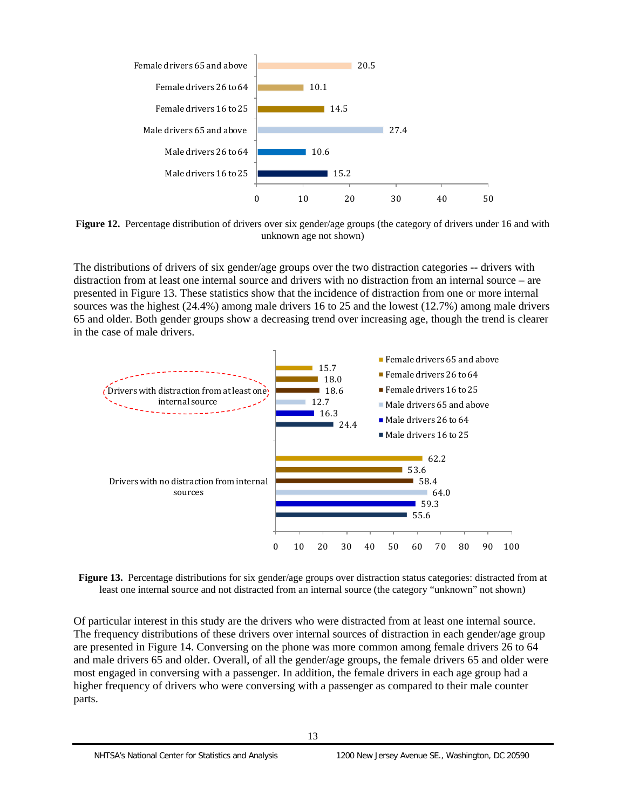<span id="page-22-0"></span>

 **Figure 12.** Percentage distribution of drivers over six gender/age groups (the category of drivers under 16 and with unknown age not shown)

The distributions of drivers of six gender/age groups over the two distraction categories -- drivers with distraction from at least one internal source and drivers with no distraction from an internal source – are presented in Figure 13. These statistics show that the incidence of distraction from one or more internal sources was the highest (24.4%) among male drivers 16 to 25 and the lowest (12.7%) among male drivers 65 and older. Both gender groups show a decreasing trend over increasing age, though the trend is clearer in the case of male drivers.



**Figure 13.** Percentage distributions for six gender/age groups over distraction status categories: distracted from at least one internal source and not distracted from an internal source (the category "unknown" not shown)

Of particular interest in this study are the drivers who were distracted from at least one internal source. The frequency distributions of these drivers over internal sources of distraction in each gender/age group are presented in Figure 14. Conversing on the phone was more common among female drivers 26 to 64 and male drivers 65 and older. Overall, of all the gender/age groups, the female drivers 65 and older were most engaged in conversing with a passenger. In addition, the female drivers in each age group had a higher frequency of drivers who were conversing with a passenger as compared to their male counter parts.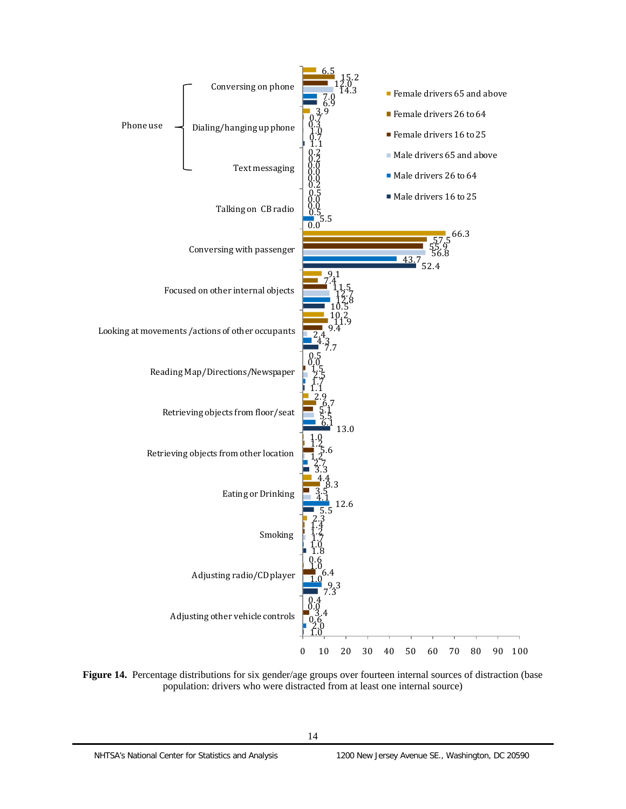<span id="page-23-0"></span>

**Figure 14.** Percentage distributions for six gender/age groups over fourteen internal sources of distraction (base population: drivers who were distracted from at least one internal source)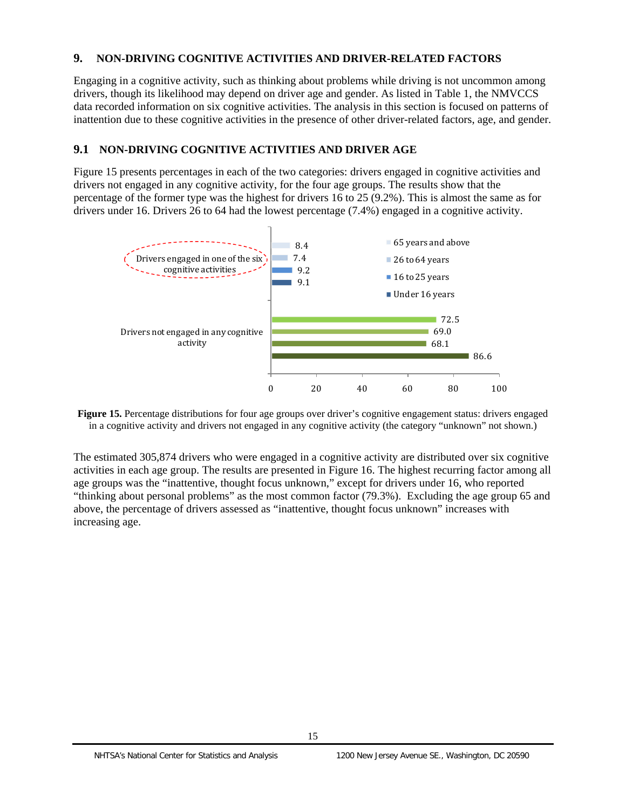## **9. NON-DRIVING COGNITIVE ACTIVITIES AND DRIVER-RELATED FACTORS**

Engaging in a cognitive activity, such as thinking about problems while driving is not uncommon among drivers, though its likelihood may depend on driver age and gender. As listed in Table 1, the NMVCCS data recorded information on six cognitive activities. The analysis in this section is focused on patterns of inattention due to these cognitive activities in the presence of other driver-related factors, age, and gender.

# **9.1 NON-DRIVING COGNITIVE ACTIVITIES AND DRIVER AGE**

Figure 15 presents percentages in each of the two categories: drivers engaged in cognitive activities and drivers not engaged in any cognitive activity, for the four age groups. The results show that the percentage of the former type was the highest for drivers 16 to 25 (9.2%). This is almost the same as for drivers under 16. Drivers 26 to 64 had the lowest percentage (7.4%) engaged in a cognitive activity.



 **Figure 15.** Percentage distributions for four age groups over driver's cognitive engagement status: drivers engaged in a cognitive activity and drivers not engaged in any cognitive activity (the category "unknown" not shown.)

The estimated 305,874 drivers who were engaged in a cognitive activity are distributed over six cognitive activities in each age group. The results are presented in Figure 16. The highest recurring factor among all age groups was the "inattentive, thought focus unknown," except for drivers under 16, who reported "thinking about personal problems" as the most common factor (79.3%). Excluding the age group 65 and above, the percentage of drivers assessed as "inattentive, thought focus unknown" increases with increasing age.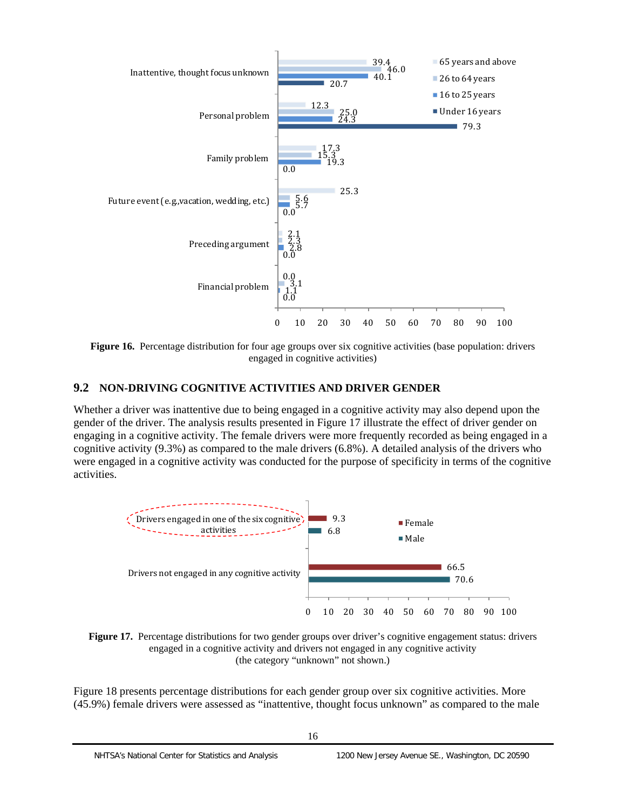<span id="page-25-0"></span>

 **Figure 16.** Percentage distribution for four age groups over six cognitive activities (base population: drivers engaged in cognitive activities)

# **9.2 NON-DRIVING COGNITIVE ACTIVITIES AND DRIVER GENDER**

Whether a driver was inattentive due to being engaged in a cognitive activity may also depend upon the gender of the driver. The analysis results presented in Figure 17 illustrate the effect of driver gender on engaging in a cognitive activity. The female drivers were more frequently recorded as being engaged in a cognitive activity (9.3%) as compared to the male drivers (6.8%). A detailed analysis of the drivers who were engaged in a cognitive activity was conducted for the purpose of specificity in terms of the cognitive activities.



Figure 17. Percentage distributions for two gender groups over driver's cognitive engagement status: drivers (the category "unknown" not shown.) engaged in a cognitive activity and drivers not engaged in any cognitive activity

Figure 18 presents percentage distributions for each gender group over six cognitive activities. More (45.9%) female drivers were assessed as "inattentive, thought focus unknown" as compared to the male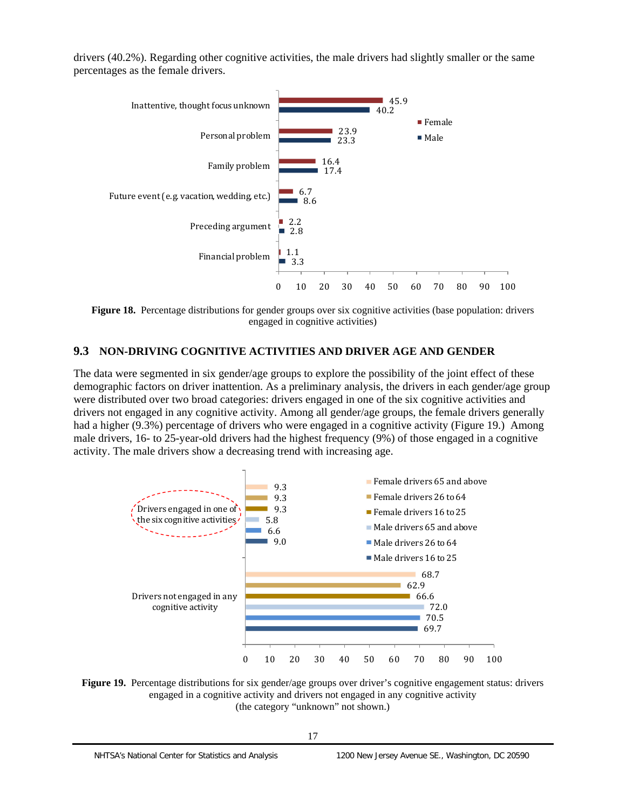drivers (40.2%). Regarding other cognitive activities, the male drivers had slightly smaller or the same percentages as the female drivers.



**Figure 18.** Percentage distributions for gender groups over six cognitive activities (base population: drivers engaged in cognitive activities)

# **9.3 NON-DRIVING COGNITIVE ACTIVITIES AND DRIVER AGE AND GENDER**

The data were segmented in six gender/age groups to explore the possibility of the joint effect of these demographic factors on driver inattention. As a preliminary analysis, the drivers in each gender/age group were distributed over two broad categories: drivers engaged in one of the six cognitive activities and drivers not engaged in any cognitive activity. Among all gender/age groups, the female drivers generally had a higher (9.3%) percentage of drivers who were engaged in a cognitive activity (Figure 19.) Among male drivers, 16- to 25-year-old drivers had the highest frequency (9%) of those engaged in a cognitive activity. The male drivers show a decreasing trend with increasing age.



 **Figure 19.** Percentage distributions for six gender/age groups over driver's cognitive engagement status: drivers (the category "unknown" not shown.) engaged in a cognitive activity and drivers not engaged in any cognitive activity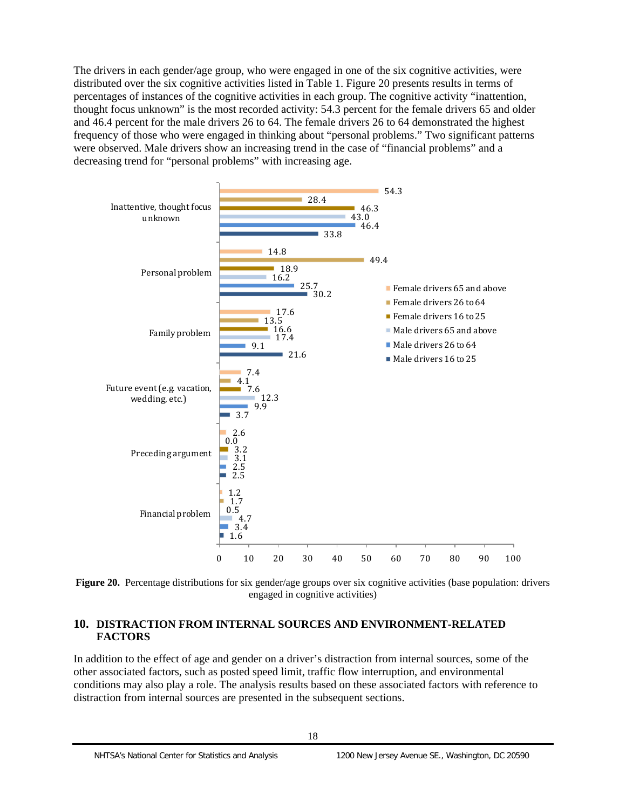<span id="page-27-0"></span>The drivers in each gender/age group, who were engaged in one of the six cognitive activities, were distributed over the six cognitive activities listed in Table 1. Figure 20 presents results in terms of percentages of instances of the cognitive activities in each group. The cognitive activity "inattention, thought focus unknown" is the most recorded activity: 54.3 percent for the female drivers 65 and older and 46.4 percent for the male drivers 26 to 64. The female drivers 26 to 64 demonstrated the highest frequency of those who were engaged in thinking about "personal problems." Two significant patterns were observed. Male drivers show an increasing trend in the case of "financial problems" and a decreasing trend for "personal problems" with increasing age.



Figure 20. Percentage distributions for six gender/age groups over six cognitive activities (base population: drivers engaged in cognitive activities)

## **10. DISTRACTION FROM INTERNAL SOURCES AND ENVIRONMENT-RELATED FACTORS**

In addition to the effect of age and gender on a driver's distraction from internal sources, some of the other associated factors, such as posted speed limit, traffic flow interruption, and environmental conditions may also play a role. The analysis results based on these associated factors with reference to distraction from internal sources are presented in the subsequent sections.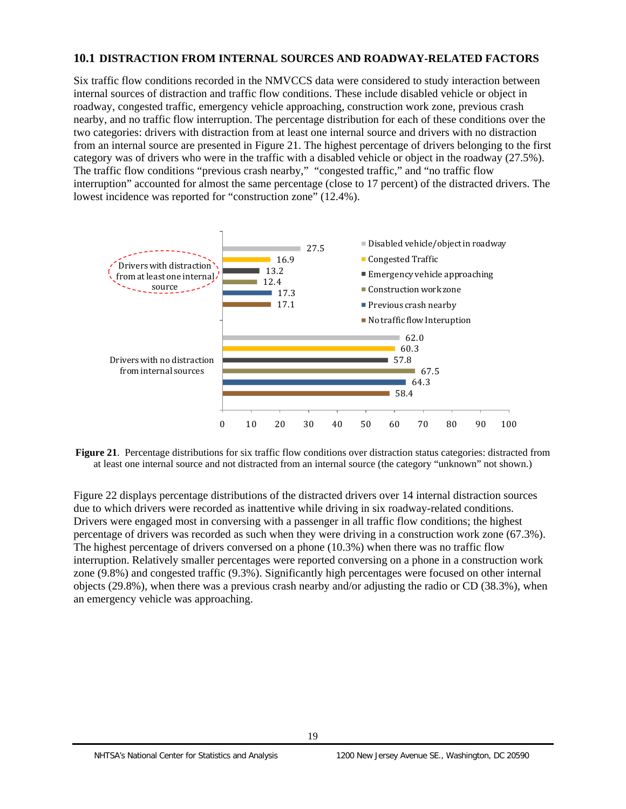# <span id="page-28-0"></span>**10.1 DISTRACTION FROM INTERNAL SOURCES AND ROADWAY-RELATED FACTORS**

Six traffic flow conditions recorded in the NMVCCS data were considered to study interaction between internal sources of distraction and traffic flow conditions. These include disabled vehicle or object in roadway, congested traffic, emergency vehicle approaching, construction work zone, previous crash nearby, and no traffic flow interruption. The percentage distribution for each of these conditions over the two categories: drivers with distraction from at least one internal source and drivers with no distraction from an internal source are presented in Figure 21. The highest percentage of drivers belonging to the first category was of drivers who were in the traffic with a disabled vehicle or object in the roadway (27.5%). The traffic flow conditions "previous crash nearby," "congested traffic," and "no traffic flow interruption" accounted for almost the same percentage (close to 17 percent) of the distracted drivers. The lowest incidence was reported for "construction zone" (12.4%).



 at least one internal source and not distracted from an internal source (the category "unknown" not shown.) **Figure 21.** Percentage distributions for six traffic flow conditions over distraction status categories: distracted from

Figure 22 displays percentage distributions of the distracted drivers over 14 internal distraction sources due to which drivers were recorded as inattentive while driving in six roadway-related conditions. Drivers were engaged most in conversing with a passenger in all traffic flow conditions; the highest percentage of drivers was recorded as such when they were driving in a construction work zone (67.3%). The highest percentage of drivers conversed on a phone (10.3%) when there was no traffic flow interruption. Relatively smaller percentages were reported conversing on a phone in a construction work zone (9.8%) and congested traffic (9.3%). Significantly high percentages were focused on other internal objects (29.8%), when there was a previous crash nearby and/or adjusting the radio or CD (38.3%), when an emergency vehicle was approaching.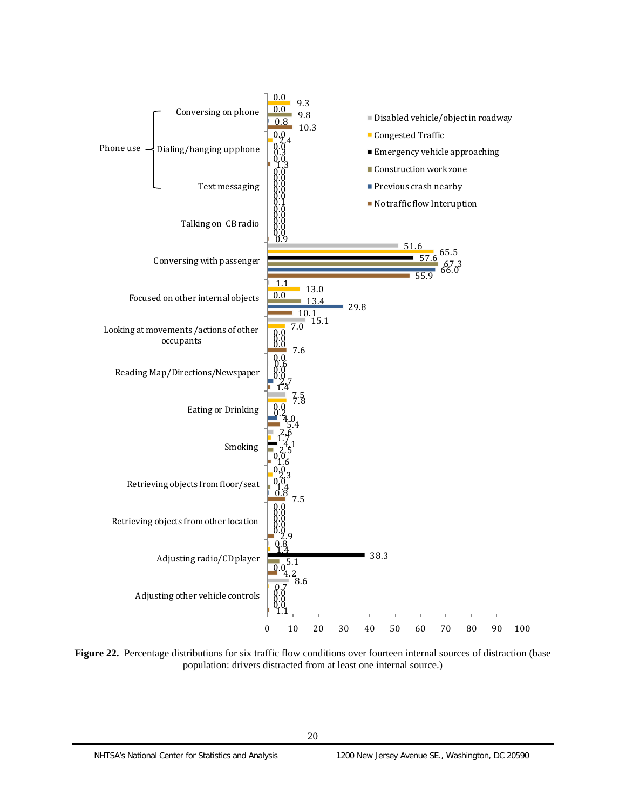<span id="page-29-0"></span>

Figure 22. Percentage distributions for six traffic flow conditions over fourteen internal sources of distraction (base population: drivers distracted from at least one internal source.)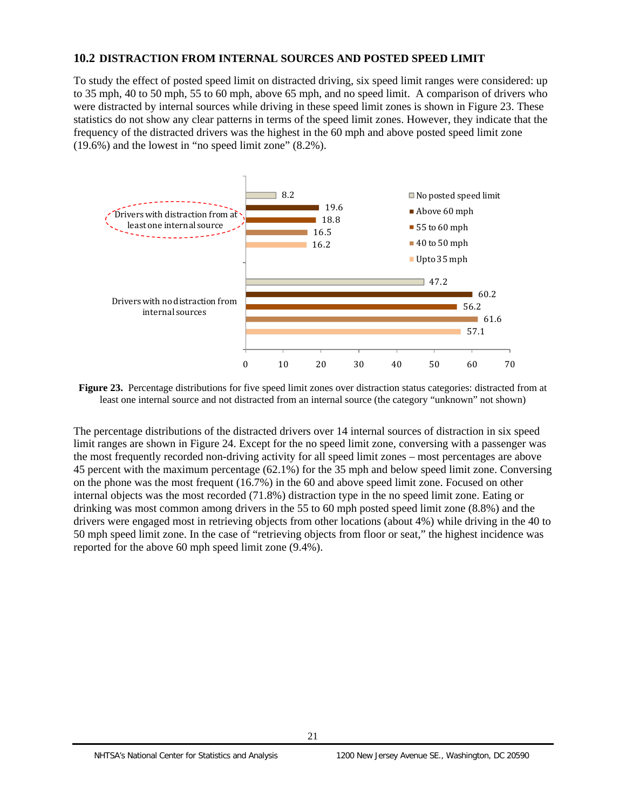## <span id="page-30-0"></span>**10.2 DISTRACTION FROM INTERNAL SOURCES AND POSTED SPEED LIMIT**

To study the effect of posted speed limit on distracted driving, six speed limit ranges were considered: up to 35 mph, 40 to 50 mph, 55 to 60 mph, above 65 mph, and no speed limit. A comparison of drivers who were distracted by internal sources while driving in these speed limit zones is shown in Figure 23. These statistics do not show any clear patterns in terms of the speed limit zones. However, they indicate that the frequency of the distracted drivers was the highest in the 60 mph and above posted speed limit zone (19.6%) and the lowest in "no speed limit zone" (8.2%).



**Figure 23.** Percentage distributions for five speed limit zones over distraction status categories: distracted from at least one internal source and not distracted from an internal source (the category "unknown" not shown)

The percentage distributions of the distracted drivers over 14 internal sources of distraction in six speed limit ranges are shown in Figure 24. Except for the no speed limit zone, conversing with a passenger was the most frequently recorded non-driving activity for all speed limit zones – most percentages are above 45 percent with the maximum percentage (62.1%) for the 35 mph and below speed limit zone. Conversing on the phone was the most frequent (16.7%) in the 60 and above speed limit zone. Focused on other internal objects was the most recorded (71.8%) distraction type in the no speed limit zone. Eating or drinking was most common among drivers in the 55 to 60 mph posted speed limit zone (8.8%) and the drivers were engaged most in retrieving objects from other locations (about 4%) while driving in the 40 to 50 mph speed limit zone. In the case of "retrieving objects from floor or seat," the highest incidence was reported for the above 60 mph speed limit zone (9.4%).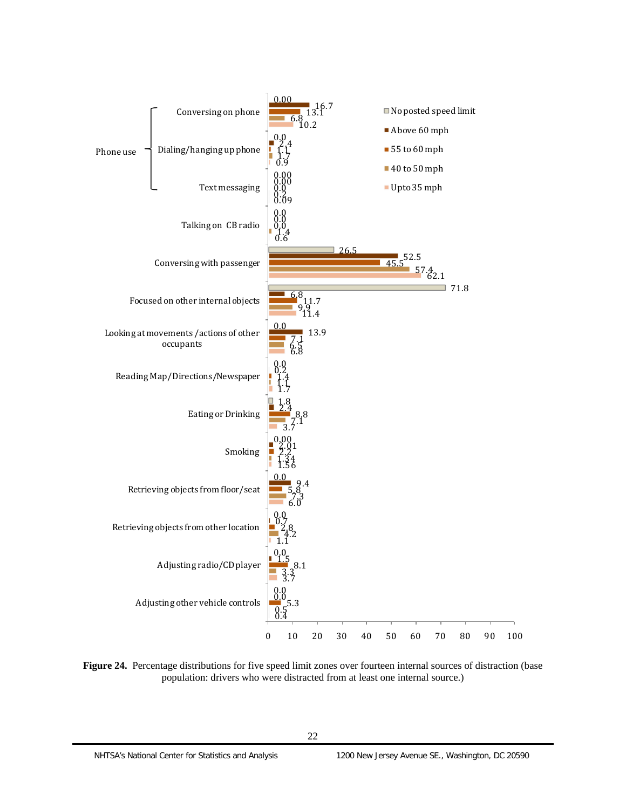<span id="page-31-0"></span>

**Figure 24.** Percentage distributions for five speed limit zones over fourteen internal sources of distraction (base population: drivers who were distracted from at least one internal source.)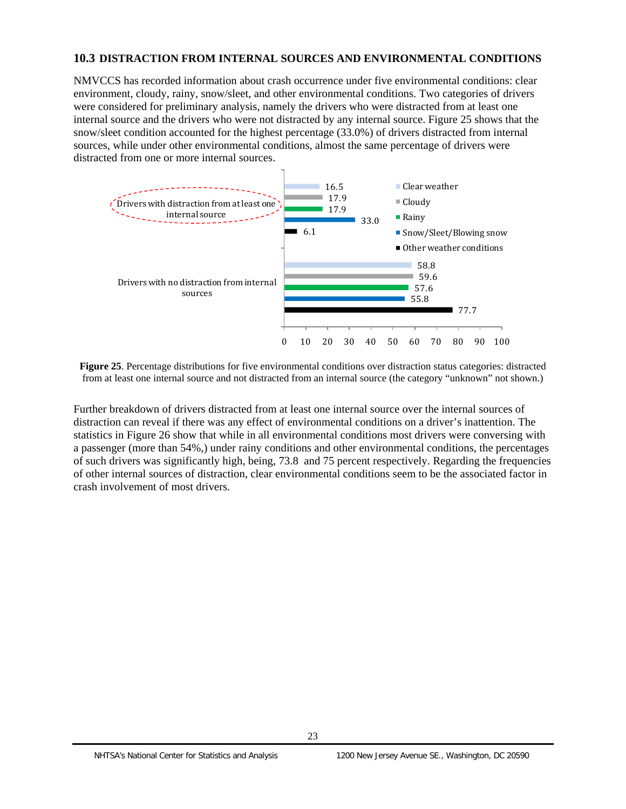## <span id="page-32-0"></span>**10.3 DISTRACTION FROM INTERNAL SOURCES AND ENVIRONMENTAL CONDITIONS**

NMVCCS has recorded information about crash occurrence under five environmental conditions: clear environment, cloudy, rainy, snow/sleet, and other environmental conditions. Two categories of drivers were considered for preliminary analysis, namely the drivers who were distracted from at least one internal source and the drivers who were not distracted by any internal source. Figure 25 shows that the snow/sleet condition accounted for the highest percentage (33.0%) of drivers distracted from internal sources, while under other environmental conditions, almost the same percentage of drivers were distracted from one or more internal sources.



**Figure 25**. Percentage distributions for five environmental conditions over distraction status categories: distracted from at least one internal source and not distracted from an internal source (the category "unknown" not shown.)

Further breakdown of drivers distracted from at least one internal source over the internal sources of distraction can reveal if there was any effect of environmental conditions on a driver's inattention. The statistics in Figure 26 show that while in all environmental conditions most drivers were conversing with a passenger (more than 54%,) under rainy conditions and other environmental conditions, the percentages of such drivers was significantly high, being, 73.8 and 75 percent respectively. Regarding the frequencies of other internal sources of distraction, clear environmental conditions seem to be the associated factor in crash involvement of most drivers.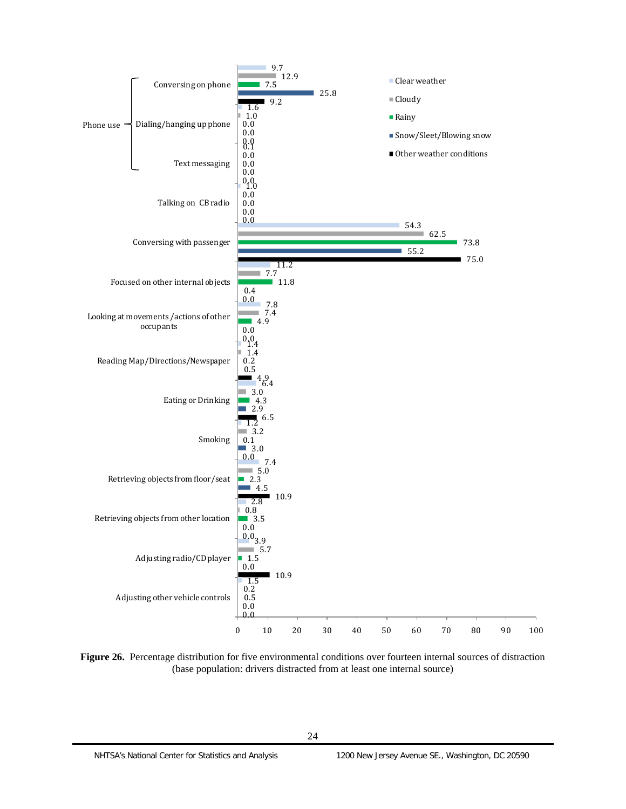

**Figure 26.** Percentage distribution for five environmental conditions over fourteen internal sources of distraction (base population: drivers distracted from at least one internal source)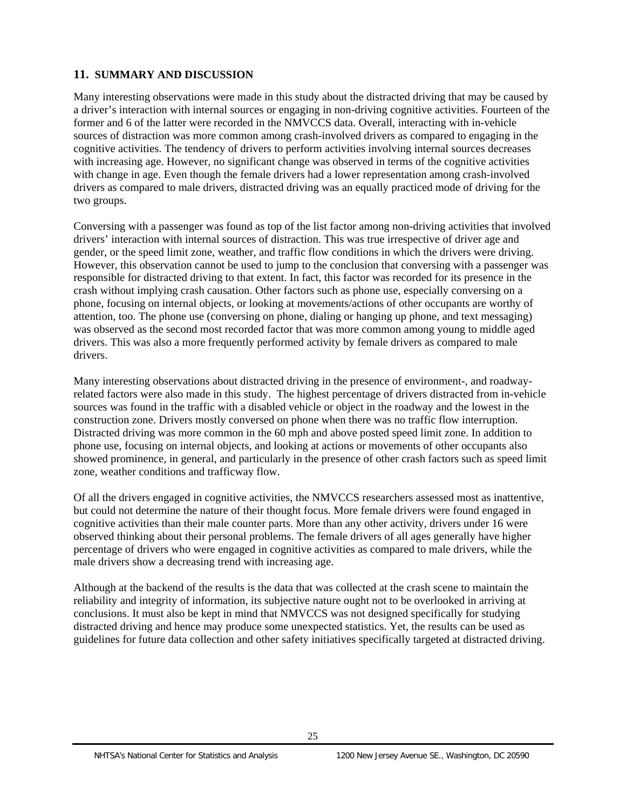# <span id="page-34-0"></span>**11. SUMMARY AND DISCUSSION**

Many interesting observations were made in this study about the distracted driving that may be caused by a driver's interaction with internal sources or engaging in non-driving cognitive activities. Fourteen of the former and 6 of the latter were recorded in the NMVCCS data. Overall, interacting with in-vehicle sources of distraction was more common among crash-involved drivers as compared to engaging in the cognitive activities. The tendency of drivers to perform activities involving internal sources decreases with increasing age. However, no significant change was observed in terms of the cognitive activities with change in age. Even though the female drivers had a lower representation among crash-involved drivers as compared to male drivers, distracted driving was an equally practiced mode of driving for the two groups.

 drivers. This was also a more frequently performed activity by female drivers as compared to male Conversing with a passenger was found as top of the list factor among non-driving activities that involved drivers' interaction with internal sources of distraction. This was true irrespective of driver age and gender, or the speed limit zone, weather, and traffic flow conditions in which the drivers were driving. However, this observation cannot be used to jump to the conclusion that conversing with a passenger was responsible for distracted driving to that extent. In fact, this factor was recorded for its presence in the crash without implying crash causation. Other factors such as phone use, especially conversing on a phone, focusing on internal objects, or looking at movements/actions of other occupants are worthy of attention, too. The phone use (conversing on phone, dialing or hanging up phone, and text messaging) was observed as the second most recorded factor that was more common among young to middle aged drivers.

Many interesting observations about distracted driving in the presence of environment-, and roadwayrelated factors were also made in this study. The highest percentage of drivers distracted from in-vehicle sources was found in the traffic with a disabled vehicle or object in the roadway and the lowest in the construction zone. Drivers mostly conversed on phone when there was no traffic flow interruption. Distracted driving was more common in the 60 mph and above posted speed limit zone. In addition to phone use, focusing on internal objects, and looking at actions or movements of other occupants also showed prominence, in general, and particularly in the presence of other crash factors such as speed limit zone, weather conditions and trafficway flow.

Of all the drivers engaged in cognitive activities, the NMVCCS researchers assessed most as inattentive, but could not determine the nature of their thought focus. More female drivers were found engaged in cognitive activities than their male counter parts. More than any other activity, drivers under 16 were observed thinking about their personal problems. The female drivers of all ages generally have higher percentage of drivers who were engaged in cognitive activities as compared to male drivers, while the male drivers show a decreasing trend with increasing age.

Although at the backend of the results is the data that was collected at the crash scene to maintain the reliability and integrity of information, its subjective nature ought not to be overlooked in arriving at conclusions. It must also be kept in mind that NMVCCS was not designed specifically for studying distracted driving and hence may produce some unexpected statistics. Yet, the results can be used as guidelines for future data collection and other safety initiatives specifically targeted at distracted driving.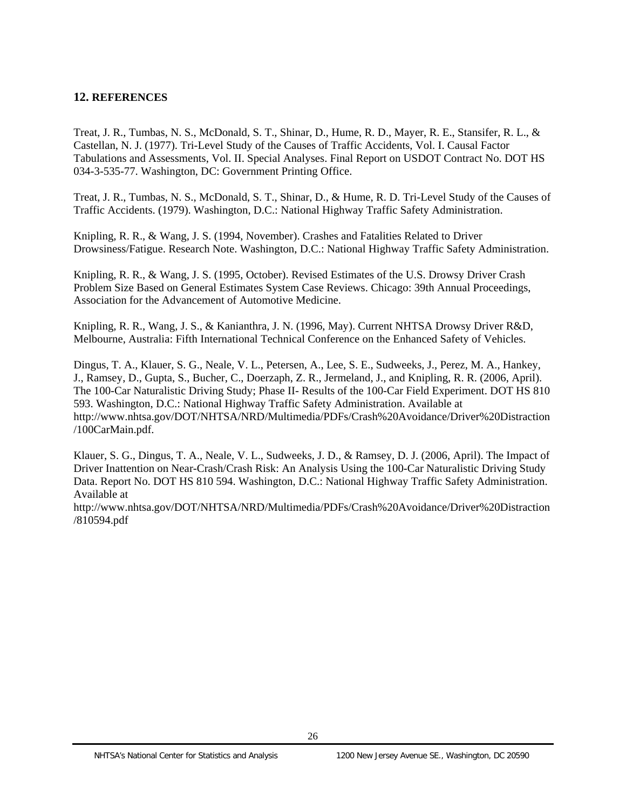## <span id="page-35-0"></span>**12. REFERENCES**

Treat, J. R., Tumbas, N. S., McDonald, S. T., Shinar, D., Hume, R. D., Mayer, R. E., Stansifer, R. L., & Castellan, N. J. (1977). Tri-Level Study of the Causes of Traffic Accidents, Vol. I. Causal Factor Tabulations and Assessments, Vol. II. Special Analyses. Final Report on USDOT Contract No. DOT HS 034-3-535-77. Washington, DC: Government Printing Office.

Treat, J. R., Tumbas, N. S., McDonald, S. T., Shinar, D., & Hume, R. D. Tri-Level Study of the Causes of Traffic Accidents. (1979). Washington, D.C.: National Highway Traffic Safety Administration.

Knipling, R. R., & Wang, J. S. (1994, November). Crashes and Fatalities Related to Driver Drowsiness/Fatigue. Research Note. Washington, D.C.: National Highway Traffic Safety Administration.

Knipling, R. R., & Wang, J. S. (1995, October). Revised Estimates of the U.S. Drowsy Driver Crash Problem Size Based on General Estimates System Case Reviews. Chicago: 39th Annual Proceedings, Association for the Advancement of Automotive Medicine.

Knipling, R. R., Wang, J. S., & Kanianthra, J. N. (1996, May). Current NHTSA Drowsy Driver R&D, Melbourne, Australia: Fifth International Technical Conference on the Enhanced Safety of Vehicles.

Dingus, T. A., Klauer, S. G., Neale, V. L., Petersen, A., Lee, S. E., Sudweeks, J., Perez, M. A., Hankey, J., Ramsey, D., Gupta, S., Bucher, C., Doerzaph, Z. R., Jermeland, J., and Knipling, R. R. (2006, April). The 100-Car Naturalistic Driving Study; Phase II- Results of the 100-Car Field Experiment. DOT HS 810 593. Washington, D.C.: National Highway Traffic Safety Administration. Available at http://www.nhtsa.gov/DOT/NHTSA/NRD/Multimedia/PDFs/Crash%20Avoidance/Driver%20Distraction /100CarMain.pdf.

Klauer, S. G., Dingus, T. A., Neale, V. L., Sudweeks, J. D., & Ramsey, D. J. (2006, April). The Impact of Driver Inattention on Near-Crash/Crash Risk: An Analysis Using the 100-Car Naturalistic Driving Study Data. Report No. DOT HS 810 594. Washington, D.C.: National Highway Traffic Safety Administration. Available at

http://www.nhtsa.gov/DOT/NHTSA/NRD/Multimedia/PDFs/Crash%20Avoidance/Driver%20Distraction /810594.pdf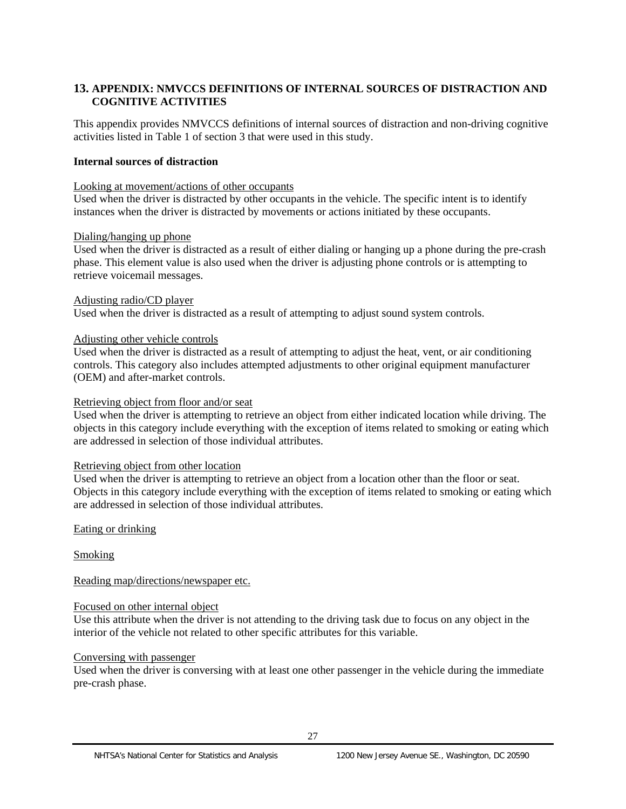# <span id="page-36-0"></span>**13. APPENDIX: NMVCCS DEFINITIONS OF INTERNAL SOURCES OF DISTRACTION AND COGNITIVE ACTIVITIES**

This appendix provides NMVCCS definitions of internal sources of distraction and non-driving cognitive activities listed in Table 1 of section 3 that were used in this study.

#### **Internal sources of distraction**

#### Looking at movement/actions of other occupants

Used when the driver is distracted by other occupants in the vehicle. The specific intent is to identify instances when the driver is distracted by movements or actions initiated by these occupants.

#### Dialing/hanging up phone

Used when the driver is distracted as a result of either dialing or hanging up a phone during the pre-crash phase. This element value is also used when the driver is adjusting phone controls or is attempting to retrieve voicemail messages.

#### Adjusting radio/CD player

Used when the driver is distracted as a result of attempting to adjust sound system controls.

#### Adjusting other vehicle controls

Used when the driver is distracted as a result of attempting to adjust the heat, vent, or air conditioning controls. This category also includes attempted adjustments to other original equipment manufacturer (OEM) and after-market controls.

#### Retrieving object from floor and/or seat

Used when the driver is attempting to retrieve an object from either indicated location while driving. The objects in this category include everything with the exception of items related to smoking or eating which are addressed in selection of those individual attributes.

#### Retrieving object from other location

Used when the driver is attempting to retrieve an object from a location other than the floor or seat. Objects in this category include everything with the exception of items related to smoking or eating which are addressed in selection of those individual attributes.

#### Eating or drinking

Smoking

Reading map/directions/newspaper etc.

#### Focused on other internal object

Use this attribute when the driver is not attending to the driving task due to focus on any object in the interior of the vehicle not related to other specific attributes for this variable.

#### Conversing with passenger

Used when the driver is conversing with at least one other passenger in the vehicle during the immediate pre-crash phase.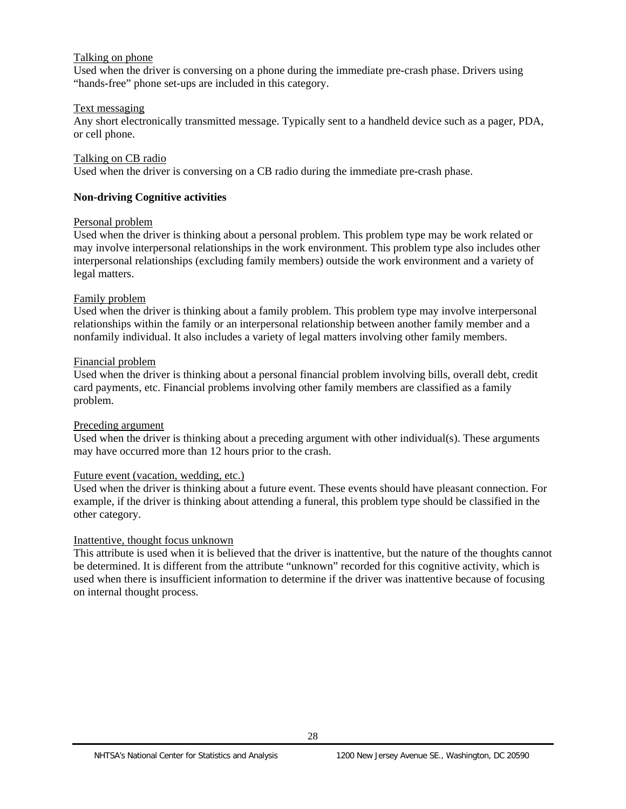#### Talking on phone

Used when the driver is conversing on a phone during the immediate pre-crash phase. Drivers using "hands-free" phone set-ups are included in this category.

#### Text messaging

Any short electronically transmitted message. Typically sent to a handheld device such as a pager, PDA, or cell phone.

#### Talking on CB radio

Used when the driver is conversing on a CB radio during the immediate pre-crash phase.

# **Non-driving Cognitive activities**

#### Personal problem

Used when the driver is thinking about a personal problem. This problem type may be work related or may involve interpersonal relationships in the work environment. This problem type also includes other interpersonal relationships (excluding family members) outside the work environment and a variety of legal matters.

## Family problem

Used when the driver is thinking about a family problem. This problem type may involve interpersonal relationships within the family or an interpersonal relationship between another family member and a nonfamily individual. It also includes a variety of legal matters involving other family members.

#### Financial problem

Used when the driver is thinking about a personal financial problem involving bills, overall debt, credit card payments, etc. Financial problems involving other family members are classified as a family problem.

#### Preceding argument

Used when the driver is thinking about a preceding argument with other individual(s). These arguments may have occurred more than 12 hours prior to the crash.

#### Future event (vacation, wedding, etc.)

Used when the driver is thinking about a future event. These events should have pleasant connection. For example, if the driver is thinking about attending a funeral, this problem type should be classified in the other category.

#### Inattentive, thought focus unknown

This attribute is used when it is believed that the driver is inattentive, but the nature of the thoughts cannot be determined. It is different from the attribute "unknown" recorded for this cognitive activity, which is used when there is insufficient information to determine if the driver was inattentive because of focusing on internal thought process.